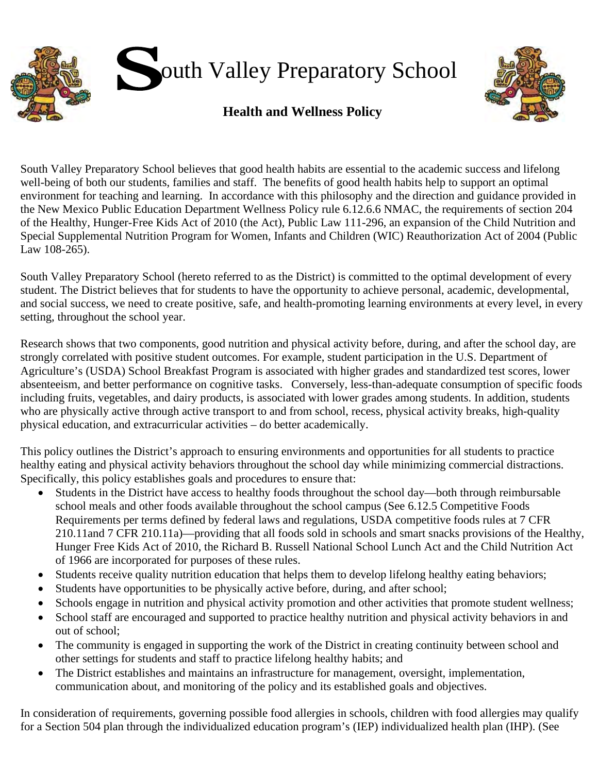



# **Health and Wellness Policy**

South Valley Preparatory School believes that good health habits are essential to the academic success and lifelong well-being of both our students, families and staff. The benefits of good health habits help to support an optimal environment for teaching and learning. In accordance with this philosophy and the direction and guidance provided in the New Mexico Public Education Department Wellness Policy rule 6.12.6.6 NMAC, the requirements of section 204 of the Healthy, Hunger-Free Kids Act of 2010 (the Act), Public Law 111-296, an expansion of the Child Nutrition and Special Supplemental Nutrition Program for Women, Infants and Children (WIC) Reauthorization Act of 2004 (Public Law 108-265).

South Valley Preparatory School (hereto referred to as the District) is committed to the optimal development of every student. The District believes that for students to have the opportunity to achieve personal, academic, developmental, and social success, we need to create positive, safe, and health-promoting learning environments at every level, in every setting, throughout the school year.

Research shows that two components, good nutrition and physical activity before, during, and after the school day, are strongly correlated with positive student outcomes. For example, student participation in the U.S. Department of Agriculture's (USDA) School Breakfast Program is associated with higher grades and standardized test scores, lower absenteeism, and better performance on cognitive tasks. Conversely, less-than-adequate consumption of specific foods including fruits, vegetables, and dairy products, is associated with lower grades among students. In addition, students who are physically active through active transport to and from school, recess, physical activity breaks, high-quality physical education, and extracurricular activities – do better academically.

This policy outlines the District's approach to ensuring environments and opportunities for all students to practice healthy eating and physical activity behaviors throughout the school day while minimizing commercial distractions. Specifically, this policy establishes goals and procedures to ensure that:

- Students in the District have access to healthy foods throughout the school day—both through reimbursable school meals and other foods available throughout the school campus (See 6.12.5 Competitive Foods Requirements per terms defined by federal laws and regulations, USDA competitive foods rules at 7 CFR 210.11and 7 CFR 210.11a)—providing that all foods sold in schools and smart snacks provisions of the Healthy, Hunger Free Kids Act of 2010, the Richard B. Russell National School Lunch Act and the Child Nutrition Act of 1966 are incorporated for purposes of these rules.
- Students receive quality nutrition education that helps them to develop lifelong healthy eating behaviors;
- Students have opportunities to be physically active before, during, and after school;
- Schools engage in nutrition and physical activity promotion and other activities that promote student wellness;
- School staff are encouraged and supported to practice healthy nutrition and physical activity behaviors in and out of school;
- The community is engaged in supporting the work of the District in creating continuity between school and other settings for students and staff to practice lifelong healthy habits; and
- The District establishes and maintains an infrastructure for management, oversight, implementation, communication about, and monitoring of the policy and its established goals and objectives.

In consideration of requirements, governing possible food allergies in schools, children with food allergies may qualify for a Section 504 plan through the individualized education program's (IEP) individualized health plan (IHP). (See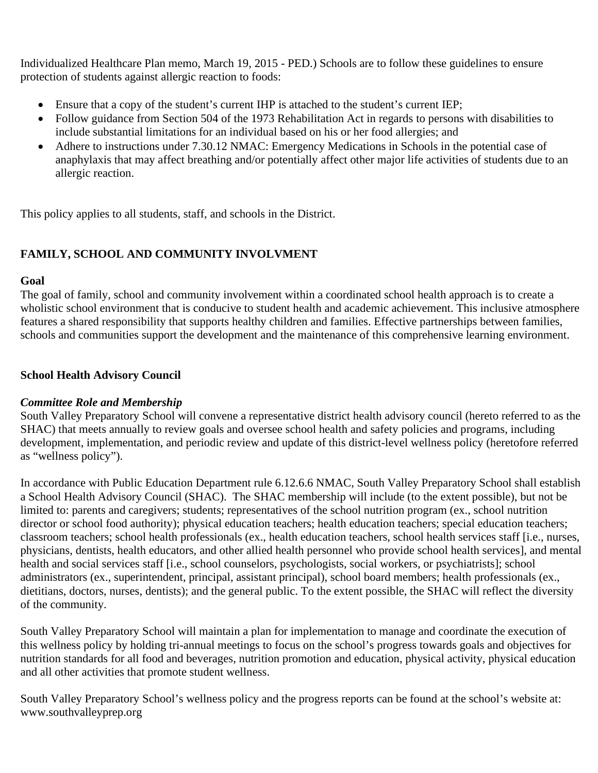Individualized Healthcare Plan memo, March 19, 2015 - PED.) Schools are to follow these guidelines to ensure protection of students against allergic reaction to foods:

- Ensure that a copy of the student's current IHP is attached to the student's current IEP;
- Follow guidance from Section 504 of the 1973 Rehabilitation Act in regards to persons with disabilities to include substantial limitations for an individual based on his or her food allergies; and
- Adhere to instructions under 7.30.12 NMAC: Emergency Medications in Schools in the potential case of anaphylaxis that may affect breathing and/or potentially affect other major life activities of students due to an allergic reaction.

This policy applies to all students, staff, and schools in the District.

## **FAMILY, SCHOOL AND COMMUNITY INVOLVMENT**

### **Goal**

The goal of family, school and community involvement within a coordinated school health approach is to create a wholistic school environment that is conducive to student health and academic achievement. This inclusive atmosphere features a shared responsibility that supports healthy children and families. Effective partnerships between families, schools and communities support the development and the maintenance of this comprehensive learning environment.

### **School Health Advisory Council**

### *Committee Role and Membership*

South Valley Preparatory School will convene a representative district health advisory council (hereto referred to as the SHAC) that meets annually to review goals and oversee school health and safety policies and programs, including development, implementation, and periodic review and update of this district-level wellness policy (heretofore referred as "wellness policy").

In accordance with Public Education Department rule 6.12.6.6 NMAC, South Valley Preparatory School shall establish a School Health Advisory Council (SHAC). The SHAC membership will include (to the extent possible), but not be limited to: parents and caregivers; students; representatives of the school nutrition program (ex., school nutrition director or school food authority); physical education teachers; health education teachers; special education teachers; classroom teachers; school health professionals (ex., health education teachers, school health services staff [i.e., nurses, physicians, dentists, health educators, and other allied health personnel who provide school health services], and mental health and social services staff [i.e., school counselors, psychologists, social workers, or psychiatrists]; school administrators (ex., superintendent, principal, assistant principal), school board members; health professionals (ex., dietitians, doctors, nurses, dentists); and the general public. To the extent possible, the SHAC will reflect the diversity of the community.

South Valley Preparatory School will maintain a plan for implementation to manage and coordinate the execution of this wellness policy by holding tri-annual meetings to focus on the school's progress towards goals and objectives for nutrition standards for all food and beverages, nutrition promotion and education, physical activity, physical education and all other activities that promote student wellness.

South Valley Preparatory School's wellness policy and the progress reports can be found at the school's website at: www.southvalleyprep.org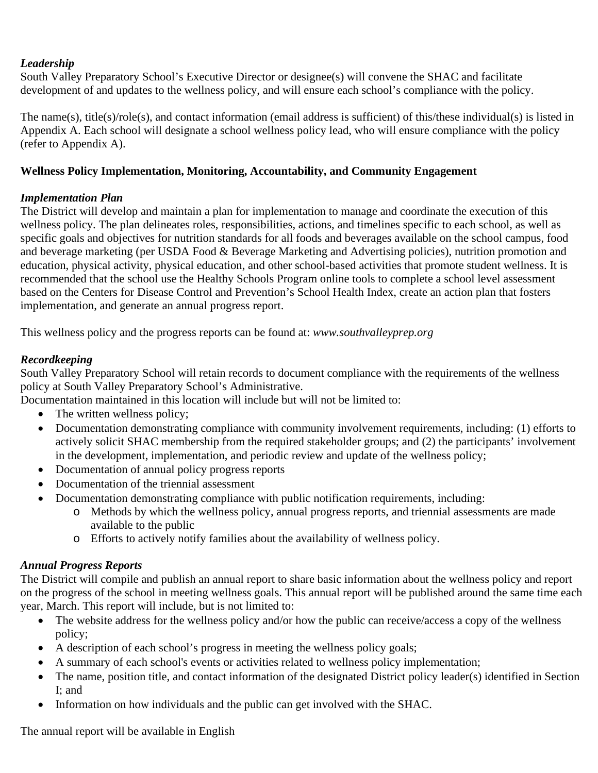## *Leadership*

South Valley Preparatory School's Executive Director or designee(s) will convene the SHAC and facilitate development of and updates to the wellness policy, and will ensure each school's compliance with the policy.

The name(s), title(s)/role(s), and contact information (email address is sufficient) of this/these individual(s) is listed in Appendix A. Each school will designate a school wellness policy lead, who will ensure compliance with the policy (refer to Appendix A).

### **Wellness Policy Implementation, Monitoring, Accountability, and Community Engagement**

## *Implementation Plan*

The District will develop and maintain a plan for implementation to manage and coordinate the execution of this wellness policy. The plan delineates roles, responsibilities, actions, and timelines specific to each school, as well as specific goals and objectives for nutrition standards for all foods and beverages available on the school campus, food and beverage marketing (per USDA Food & Beverage Marketing and Advertising policies), nutrition promotion and education, physical activity, physical education, and other school-based activities that promote student wellness. It is recommended that the school use the Healthy Schools Program online tools to complete a school level assessment based on the Centers for Disease Control and Prevention's School Health Index, create an action plan that fosters implementation, and generate an annual progress report.

This wellness policy and the progress reports can be found at: *www.southvalleyprep.org*

## *Recordkeeping*

South Valley Preparatory School will retain records to document compliance with the requirements of the wellness policy at South Valley Preparatory School's Administrative.

Documentation maintained in this location will include but will not be limited to:

- The written wellness policy;
- Documentation demonstrating compliance with community involvement requirements, including: (1) efforts to actively solicit SHAC membership from the required stakeholder groups; and (2) the participants' involvement in the development, implementation, and periodic review and update of the wellness policy;
- Documentation of annual policy progress reports
- Documentation of the triennial assessment
- Documentation demonstrating compliance with public notification requirements, including:
	- o Methods by which the wellness policy, annual progress reports, and triennial assessments are made available to the public
	- o Efforts to actively notify families about the availability of wellness policy.

## *Annual Progress Reports*

The District will compile and publish an annual report to share basic information about the wellness policy and report on the progress of the school in meeting wellness goals. This annual report will be published around the same time each year, March. This report will include, but is not limited to:

- The website address for the wellness policy and/or how the public can receive/access a copy of the wellness policy;
- A description of each school's progress in meeting the wellness policy goals;
- A summary of each school's events or activities related to wellness policy implementation;
- The name, position title, and contact information of the designated District policy leader(s) identified in Section I; and
- Information on how individuals and the public can get involved with the SHAC.

The annual report will be available in English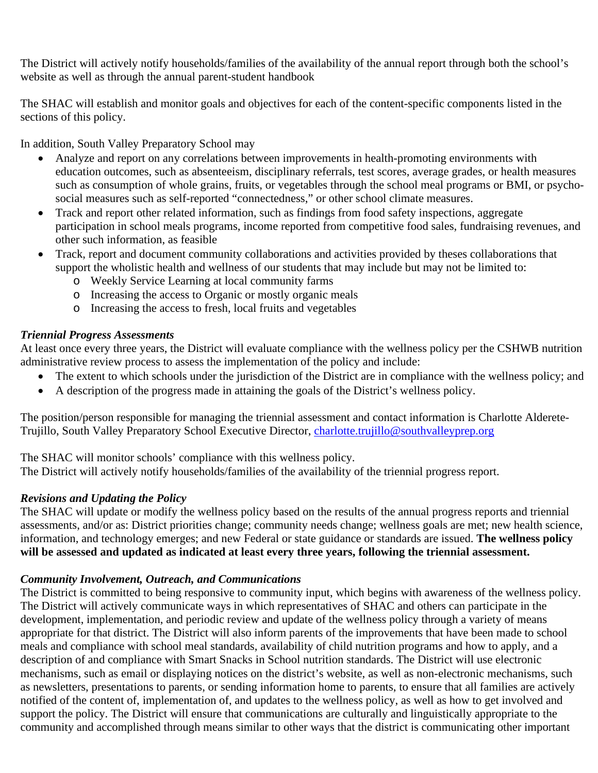The District will actively notify households/families of the availability of the annual report through both the school's website as well as through the annual parent-student handbook

The SHAC will establish and monitor goals and objectives for each of the content-specific components listed in the sections of this policy.

In addition, South Valley Preparatory School may

- Analyze and report on any correlations between improvements in health-promoting environments with education outcomes, such as absenteeism, disciplinary referrals, test scores, average grades, or health measures such as consumption of whole grains, fruits, or vegetables through the school meal programs or BMI, or psychosocial measures such as self-reported "connectedness," or other school climate measures.
- Track and report other related information, such as findings from food safety inspections, aggregate participation in school meals programs, income reported from competitive food sales, fundraising revenues, and other such information, as feasible
- Track, report and document community collaborations and activities provided by theses collaborations that support the wholistic health and wellness of our students that may include but may not be limited to:
	- o Weekly Service Learning at local community farms
	- o Increasing the access to Organic or mostly organic meals
	- o Increasing the access to fresh, local fruits and vegetables

### *Triennial Progress Assessments*

At least once every three years, the District will evaluate compliance with the wellness policy per the CSHWB nutrition administrative review process to assess the implementation of the policy and include:

- The extent to which schools under the jurisdiction of the District are in compliance with the wellness policy; and
- A description of the progress made in attaining the goals of the District's wellness policy.

The position/person responsible for managing the triennial assessment and contact information is Charlotte Alderete-Trujillo, South Valley Preparatory School Executive Director, [charlotte.trujillo@southvalleyprep.org](mailto:charlotte.trujillo@southvalleyprep.org)

The SHAC will monitor schools' compliance with this wellness policy.

The District will actively notify households/families of the availability of the triennial progress report.

## *Revisions and Updating the Policy*

The SHAC will update or modify the wellness policy based on the results of the annual progress reports and triennial assessments, and/or as: District priorities change; community needs change; wellness goals are met; new health science, information, and technology emerges; and new Federal or state guidance or standards are issued. **The wellness policy will be assessed and updated as indicated at least every three years, following the triennial assessment.** 

## *Community Involvement, Outreach, and Communications*

The District is committed to being responsive to community input, which begins with awareness of the wellness policy. The District will actively communicate ways in which representatives of SHAC and others can participate in the development, implementation, and periodic review and update of the wellness policy through a variety of means appropriate for that district. The District will also inform parents of the improvements that have been made to school meals and compliance with school meal standards, availability of child nutrition programs and how to apply, and a description of and compliance with Smart Snacks in School nutrition standards. The District will use electronic mechanisms, such as email or displaying notices on the district's website, as well as non-electronic mechanisms, such as newsletters, presentations to parents, or sending information home to parents, to ensure that all families are actively notified of the content of, implementation of, and updates to the wellness policy, as well as how to get involved and support the policy. The District will ensure that communications are culturally and linguistically appropriate to the community and accomplished through means similar to other ways that the district is communicating other important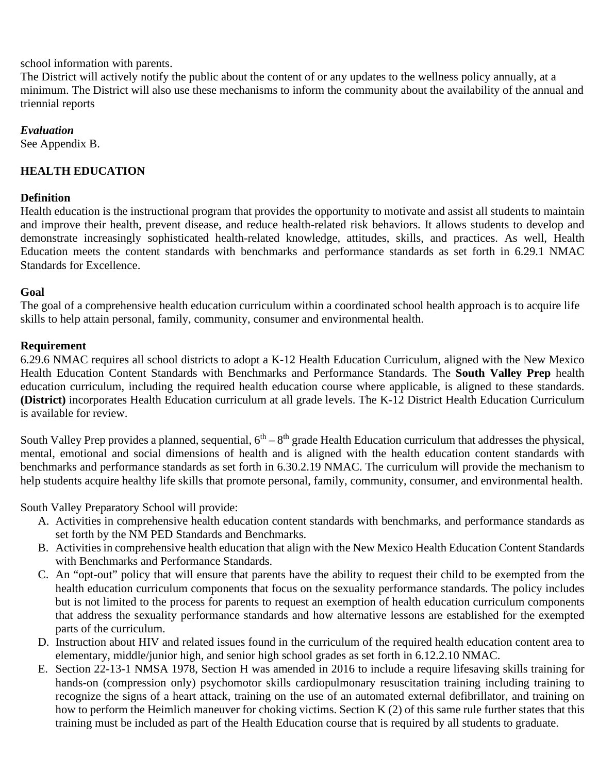### school information with parents.

The District will actively notify the public about the content of or any updates to the wellness policy annually, at a minimum. The District will also use these mechanisms to inform the community about the availability of the annual and triennial reports

#### *Evaluation*

See Appendix B.

### **HEALTH EDUCATION**

#### **Definition**

Health education is the instructional program that provides the opportunity to motivate and assist all students to maintain and improve their health, prevent disease, and reduce health-related risk behaviors. It allows students to develop and demonstrate increasingly sophisticated health-related knowledge, attitudes, skills, and practices. As well, Health Education meets the content standards with benchmarks and performance standards as set forth in 6.29.1 NMAC Standards for Excellence.

### **Goal**

The goal of a comprehensive health education curriculum within a coordinated school health approach is to acquire life skills to help attain personal, family, community, consumer and environmental health.

### **Requirement**

6.29.6 NMAC requires all school districts to adopt a K-12 Health Education Curriculum, aligned with the New Mexico Health Education Content Standards with Benchmarks and Performance Standards. The **South Valley Prep** health education curriculum, including the required health education course where applicable, is aligned to these standards. **(District)** incorporates Health Education curriculum at all grade levels. The K-12 District Health Education Curriculum is available for review.

South Valley Prep provides a planned, sequential,  $6<sup>th</sup> - 8<sup>th</sup>$  grade Health Education curriculum that addresses the physical, mental, emotional and social dimensions of health and is aligned with the health education content standards with benchmarks and performance standards as set forth in 6.30.2.19 NMAC. The curriculum will provide the mechanism to help students acquire healthy life skills that promote personal, family, community, consumer, and environmental health.

South Valley Preparatory School will provide:

- A. Activities in comprehensive health education content standards with benchmarks, and performance standards as set forth by the NM PED Standards and Benchmarks.
- B. Activities in comprehensive health education that align with the New Mexico Health Education Content Standards with Benchmarks and Performance Standards.
- C. An "opt-out" policy that will ensure that parents have the ability to request their child to be exempted from the health education curriculum components that focus on the sexuality performance standards. The policy includes but is not limited to the process for parents to request an exemption of health education curriculum components that address the sexuality performance standards and how alternative lessons are established for the exempted parts of the curriculum.
- D. Instruction about HIV and related issues found in the curriculum of the required health education content area to elementary, middle/junior high, and senior high school grades as set forth in 6.12.2.10 NMAC.
- E. Section 22-13-1 NMSA 1978, Section H was amended in 2016 to include a require lifesaving skills training for hands-on (compression only) psychomotor skills cardiopulmonary resuscitation training including training to recognize the signs of a heart attack, training on the use of an automated external defibrillator, and training on how to perform the Heimlich maneuver for choking victims. Section K (2) of this same rule further states that this training must be included as part of the Health Education course that is required by all students to graduate.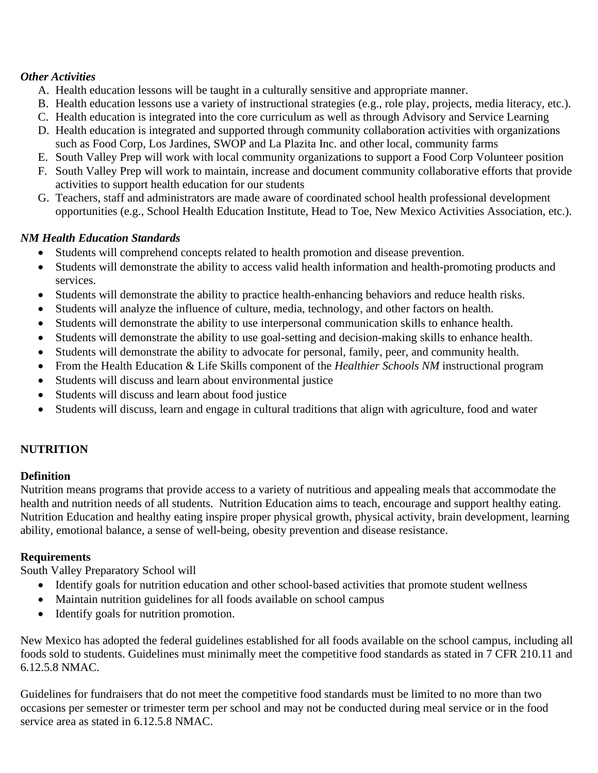### *Other Activities*

- A. Health education lessons will be taught in a culturally sensitive and appropriate manner.
- B. Health education lessons use a variety of instructional strategies (e.g., role play, projects, media literacy, etc.).
- C. Health education is integrated into the core curriculum as well as through Advisory and Service Learning
- D. Health education is integrated and supported through community collaboration activities with organizations such as Food Corp, Los Jardines, SWOP and La Plazita Inc. and other local, community farms
- E. South Valley Prep will work with local community organizations to support a Food Corp Volunteer position
- F. South Valley Prep will work to maintain, increase and document community collaborative efforts that provide activities to support health education for our students
- G. Teachers, staff and administrators are made aware of coordinated school health professional development opportunities (e.g., School Health Education Institute, Head to Toe, New Mexico Activities Association, etc.).

## *NM Health Education Standards*

- Students will comprehend concepts related to health promotion and disease prevention.
- Students will demonstrate the ability to access valid health information and health-promoting products and services.
- Students will demonstrate the ability to practice health-enhancing behaviors and reduce health risks.
- Students will analyze the influence of culture, media, technology, and other factors on health.
- Students will demonstrate the ability to use interpersonal communication skills to enhance health.
- Students will demonstrate the ability to use goal-setting and decision-making skills to enhance health.
- Students will demonstrate the ability to advocate for personal, family, peer, and community health.
- From the Health Education & Life Skills component of the *Healthier Schools NM* instructional program
- Students will discuss and learn about environmental justice
- Students will discuss and learn about food justice
- Students will discuss, learn and engage in cultural traditions that align with agriculture, food and water

## **NUTRITION**

### **Definition**

Nutrition means programs that provide access to a variety of nutritious and appealing meals that accommodate the health and nutrition needs of all students. Nutrition Education aims to teach, encourage and support healthy eating. Nutrition Education and healthy eating inspire proper physical growth, physical activity, brain development, learning ability, emotional balance, a sense of well-being, obesity prevention and disease resistance.

### **Requirements**

South Valley Preparatory School will

- Identify goals for nutrition education and other school-based activities that promote student wellness
- Maintain nutrition guidelines for all foods available on school campus
- Identify goals for nutrition promotion.

New Mexico has adopted the federal guidelines established for all foods available on the school campus, including all foods sold to students. Guidelines must minimally meet the competitive food standards as stated in 7 CFR 210.11 and 6.12.5.8 NMAC.

Guidelines for fundraisers that do not meet the competitive food standards must be limited to no more than two occasions per semester or trimester term per school and may not be conducted during meal service or in the food service area as stated in 6.12.5.8 NMAC.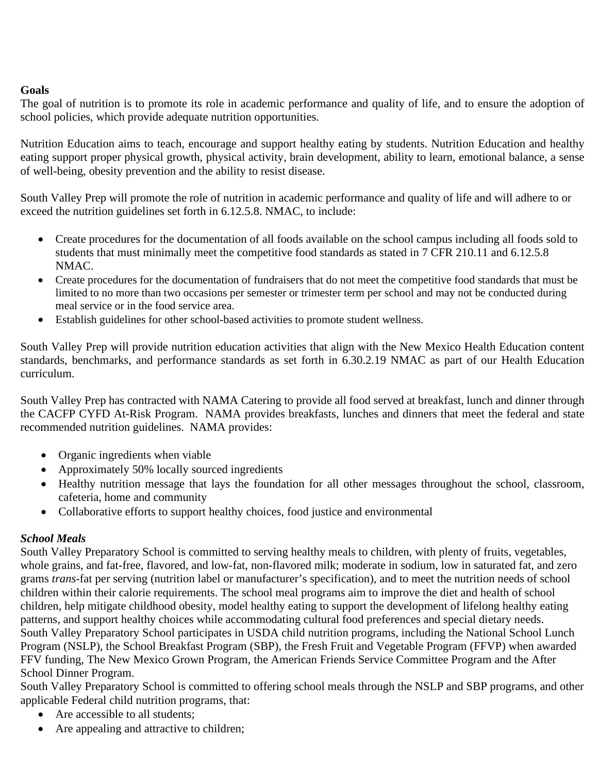### **Goals**

The goal of nutrition is to promote its role in academic performance and quality of life, and to ensure the adoption of school policies, which provide adequate nutrition opportunities.

Nutrition Education aims to teach, encourage and support healthy eating by students. Nutrition Education and healthy eating support proper physical growth, physical activity, brain development, ability to learn, emotional balance, a sense of well-being, obesity prevention and the ability to resist disease.

South Valley Prep will promote the role of nutrition in academic performance and quality of life and will adhere to or exceed the nutrition guidelines set forth in 6.12.5.8. NMAC, to include:

- Create procedures for the documentation of all foods available on the school campus including all foods sold to students that must minimally meet the competitive food standards as stated in 7 CFR 210.11 and 6.12.5.8 NMAC.
- Create procedures for the documentation of fundraisers that do not meet the competitive food standards that must be limited to no more than two occasions per semester or trimester term per school and may not be conducted during meal service or in the food service area.
- Establish guidelines for other school-based activities to promote student wellness.

South Valley Prep will provide nutrition education activities that align with the New Mexico Health Education content standards, benchmarks, and performance standards as set forth in 6.30.2.19 NMAC as part of our Health Education curriculum.

South Valley Prep has contracted with NAMA Catering to provide all food served at breakfast, lunch and dinner through the CACFP CYFD At-Risk Program. NAMA provides breakfasts, lunches and dinners that meet the federal and state recommended nutrition guidelines. NAMA provides:

- Organic ingredients when viable
- Approximately 50% locally sourced ingredients
- Healthy nutrition message that lays the foundation for all other messages throughout the school, classroom, cafeteria, home and community
- Collaborative efforts to support healthy choices, food justice and environmental

## *School Meals*

South Valley Preparatory School is committed to serving healthy meals to children, with plenty of fruits, vegetables, whole grains, and fat-free, flavored, and low-fat, non-flavored milk; moderate in sodium, low in saturated fat, and zero grams *trans-*fat per serving (nutrition label or manufacturer's specification), and to meet the nutrition needs of school children within their calorie requirements. The school meal programs aim to improve the diet and health of school children, help mitigate childhood obesity, model healthy eating to support the development of lifelong healthy eating patterns, and support healthy choices while accommodating cultural food preferences and special dietary needs. South Valley Preparatory School participates in USDA child nutrition programs, including the National School Lunch Program (NSLP), the School Breakfast Program (SBP), the Fresh Fruit and Vegetable Program (FFVP) when awarded FFV funding, The New Mexico Grown Program, the American Friends Service Committee Program and the After School Dinner Program.

South Valley Preparatory School is committed to offering school meals through the NSLP and SBP programs, and other applicable Federal child nutrition programs, that:

- Are accessible to all students;
- Are appealing and attractive to children;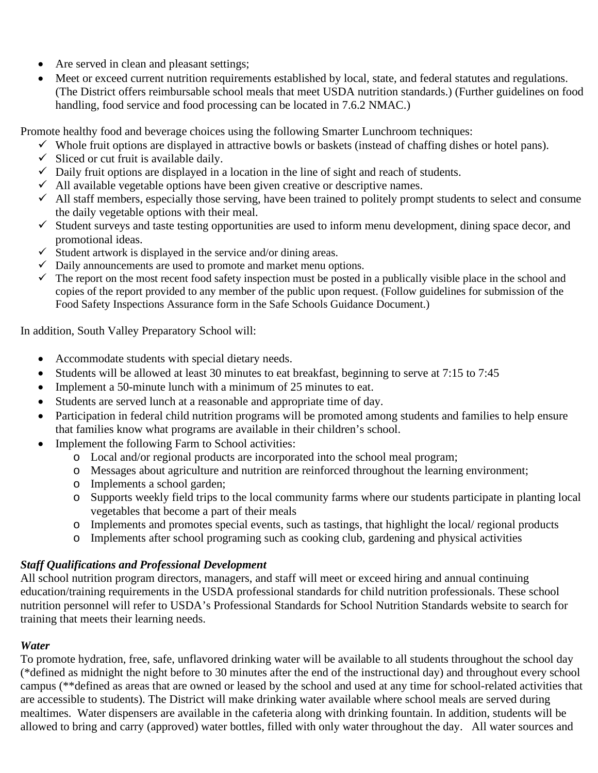- Are served in clean and pleasant settings;
- Meet or exceed current nutrition requirements established by local, state, and federal statutes and regulations. (The District offers reimbursable school meals that meet USDA nutrition standards.) (Further guidelines on food handling, food service and food processing can be located in 7.6.2 NMAC.)

Promote healthy food and beverage choices using the following Smarter Lunchroom techniques:

- $\checkmark$  Whole fruit options are displayed in attractive bowls or baskets (instead of chaffing dishes or hotel pans).
- $\checkmark$  Sliced or cut fruit is available daily.
- $\checkmark$  Daily fruit options are displayed in a location in the line of sight and reach of students.
- $\checkmark$  All available vegetable options have been given creative or descriptive names.
- $\checkmark$  All staff members, especially those serving, have been trained to politely prompt students to select and consume the daily vegetable options with their meal.
- $\checkmark$  Student surveys and taste testing opportunities are used to inform menu development, dining space decor, and promotional ideas.
- $\checkmark$  Student artwork is displayed in the service and/or dining areas.
- $\checkmark$  Daily announcements are used to promote and market menu options.
- $\checkmark$  The report on the most recent food safety inspection must be posted in a publically visible place in the school and copies of the report provided to any member of the public upon request. (Follow guidelines for submission of the Food Safety Inspections Assurance form in the Safe Schools Guidance Document.)

In addition, South Valley Preparatory School will:

- Accommodate students with special dietary needs.
- Students will be allowed at least 30 minutes to eat breakfast, beginning to serve at 7:15 to 7:45
- Implement a 50-minute lunch with a minimum of 25 minutes to eat.
- Students are served lunch at a reasonable and appropriate time of day.
- Participation in federal child nutrition programs will be promoted among students and families to help ensure that families know what programs are available in their children's school.
- Implement the following Farm to School activities:
	- o Local and/or regional products are incorporated into the school meal program;
	- o Messages about agriculture and nutrition are reinforced throughout the learning environment;
	- o Implements a school garden;
	- o Supports weekly field trips to the local community farms where our students participate in planting local vegetables that become a part of their meals
	- o Implements and promotes special events, such as tastings, that highlight the local/ regional products
	- o Implements after school programing such as cooking club, gardening and physical activities

## *Staff Qualifications and Professional Development*

All school nutrition program directors, managers, and staff will meet or exceed hiring and annual continuing education/training requirements in the USDA professional standards for child nutrition professionals. These school nutrition personnel will refer to USDA's Professional Standards for School Nutrition Standards website to search for training that meets their learning needs.

## *Water*

To promote hydration, free, safe, unflavored drinking water will be available to all students throughout the school day (\*defined as midnight the night before to 30 minutes after the end of the instructional day) and throughout every school campus (\*\*defined as areas that are owned or leased by the school and used at any time for school-related activities that are accessible to students). The District will make drinking water available where school meals are served during mealtimes. Water dispensers are available in the cafeteria along with drinking fountain. In addition, students will be allowed to bring and carry (approved) water bottles, filled with only water throughout the day. All water sources and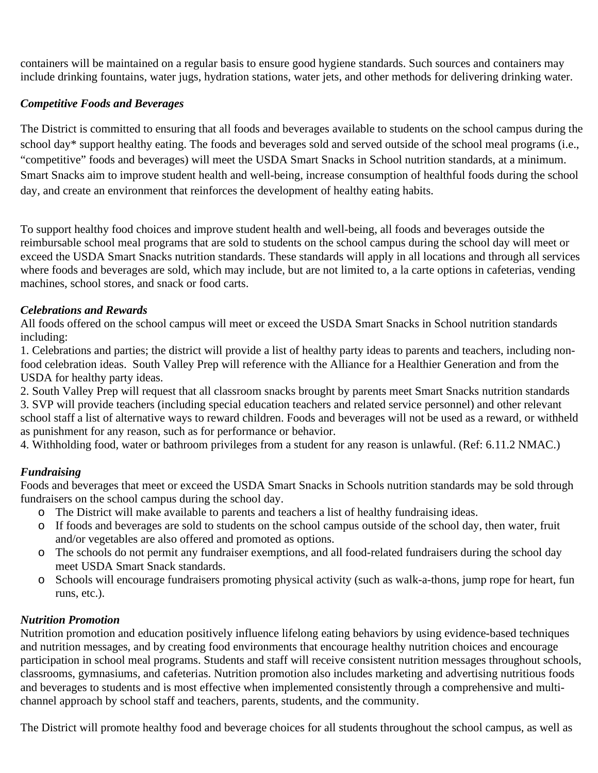containers will be maintained on a regular basis to ensure good hygiene standards. Such sources and containers may include drinking fountains, water jugs, hydration stations, water jets, and other methods for delivering drinking water.

### *Competitive Foods and Beverages*

The District is committed to ensuring that all foods and beverages available to students on the school campus during the school day\* support healthy eating. The foods and beverages sold and served outside of the school meal programs (i.e., "competitive" foods and beverages) will meet the USDA Smart Snacks in School nutrition standards, at a minimum. Smart Snacks aim to improve student health and well-being, increase consumption of healthful foods during the school day, and create an environment that reinforces the development of healthy eating habits.

To support healthy food choices and improve student health and well-being, all foods and beverages outside the reimbursable school meal programs that are sold to students on the school campus during the school day will meet or exceed the USDA Smart Snacks nutrition standards. These standards will apply in all locations and through all services where foods and beverages are sold, which may include, but are not limited to, a la carte options in cafeterias, vending machines, school stores, and snack or food carts.

### *Celebrations and Rewards*

All foods offered on the school campus will meet or exceed the USDA Smart Snacks in School nutrition standards including:

1. Celebrations and parties; the district will provide a list of healthy party ideas to parents and teachers, including nonfood celebration ideas. South Valley Prep will reference with the Alliance for a Healthier Generation and from the USDA for healthy party ideas.

2. South Valley Prep will request that all classroom snacks brought by parents meet Smart Snacks nutrition standards 3. SVP will provide teachers (including special education teachers and related service personnel) and other relevant school staff a list of alternative ways to reward children. Foods and beverages will not be used as a reward, or withheld as punishment for any reason, such as for performance or behavior.

4. Withholding food, water or bathroom privileges from a student for any reason is unlawful. (Ref: 6.11.2 NMAC.)

### *Fundraising*

Foods and beverages that meet or exceed the USDA Smart Snacks in Schools nutrition standards may be sold through fundraisers on the school campus during the school day.

- o The District will make available to parents and teachers a list of healthy fundraising ideas.
- o If foods and beverages are sold to students on the school campus outside of the school day, then water, fruit and/or vegetables are also offered and promoted as options.
- o The schools do not permit any fundraiser exemptions, and all food-related fundraisers during the school day meet USDA Smart Snack standards.
- o Schools will encourage fundraisers promoting physical activity (such as walk-a-thons, jump rope for heart, fun runs, etc.).

### *Nutrition Promotion*

Nutrition promotion and education positively influence lifelong eating behaviors by using evidence-based techniques and nutrition messages, and by creating food environments that encourage healthy nutrition choices and encourage participation in school meal programs. Students and staff will receive consistent nutrition messages throughout schools, classrooms, gymnasiums, and cafeterias. Nutrition promotion also includes marketing and advertising nutritious foods and beverages to students and is most effective when implemented consistently through a comprehensive and multichannel approach by school staff and teachers, parents, students, and the community.

The District will promote healthy food and beverage choices for all students throughout the school campus, as well as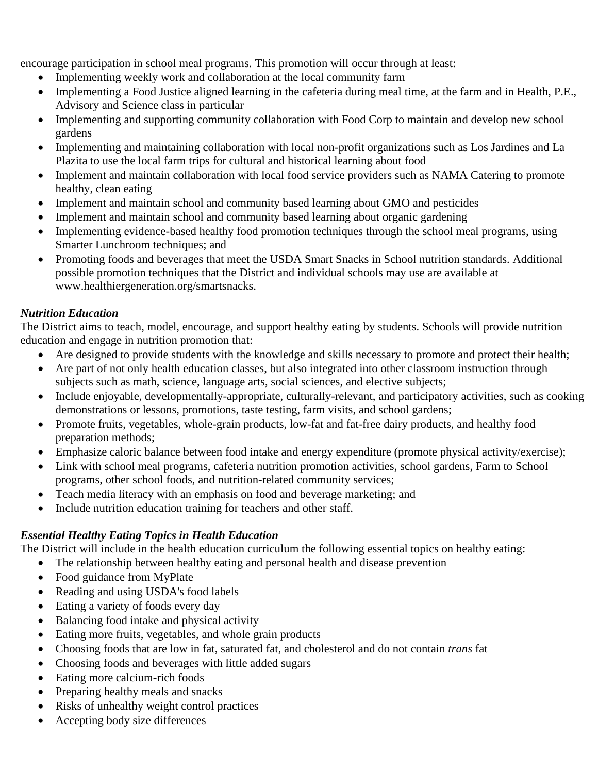encourage participation in school meal programs. This promotion will occur through at least:

- Implementing weekly work and collaboration at the local community farm
- Implementing a Food Justice aligned learning in the cafeteria during meal time, at the farm and in Health, P.E., Advisory and Science class in particular
- Implementing and supporting community collaboration with Food Corp to maintain and develop new school gardens
- Implementing and maintaining collaboration with local non-profit organizations such as Los Jardines and La Plazita to use the local farm trips for cultural and historical learning about food
- Implement and maintain collaboration with local food service providers such as NAMA Catering to promote healthy, clean eating
- Implement and maintain school and community based learning about GMO and pesticides
- Implement and maintain school and community based learning about organic gardening
- Implementing evidence-based healthy food promotion techniques through the school meal programs, using Smarter Lunchroom techniques; and
- Promoting foods and beverages that meet the USDA Smart Snacks in School nutrition standards. Additional possible promotion techniques that the District and individual schools may use are available at www.healthiergeneration.org/smartsnacks.

### *Nutrition Education*

The District aims to teach, model, encourage, and support healthy eating by students. Schools will provide nutrition education and engage in nutrition promotion that:

- Are designed to provide students with the knowledge and skills necessary to promote and protect their health;
- Are part of not only health education classes, but also integrated into other classroom instruction through subjects such as math, science, language arts, social sciences, and elective subjects;
- Include enjoyable, developmentally-appropriate, culturally-relevant, and participatory activities, such as cooking demonstrations or lessons, promotions, taste testing, farm visits, and school gardens;
- Promote fruits, vegetables, whole-grain products, low-fat and fat-free dairy products, and healthy food preparation methods;
- Emphasize caloric balance between food intake and energy expenditure (promote physical activity/exercise);
- Link with school meal programs, cafeteria nutrition promotion activities, school gardens, Farm to School programs, other school foods, and nutrition-related community services;
- Teach media literacy with an emphasis on food and beverage marketing; and
- Include nutrition education training for teachers and other staff.

## *Essential Healthy Eating Topics in Health Education*

The District will include in the health education curriculum the following essential topics on healthy eating:

- The relationship between healthy eating and personal health and disease prevention
- Food guidance from MyPlate
- Reading and using USDA's food labels
- Eating a variety of foods every day
- Balancing food intake and physical activity
- Eating more fruits, vegetables, and whole grain products
- Choosing foods that are low in fat, saturated fat, and cholesterol and do not contain *trans* fat
- Choosing foods and beverages with little added sugars
- Eating more calcium-rich foods
- Preparing healthy meals and snacks
- Risks of unhealthy weight control practices
- Accepting body size differences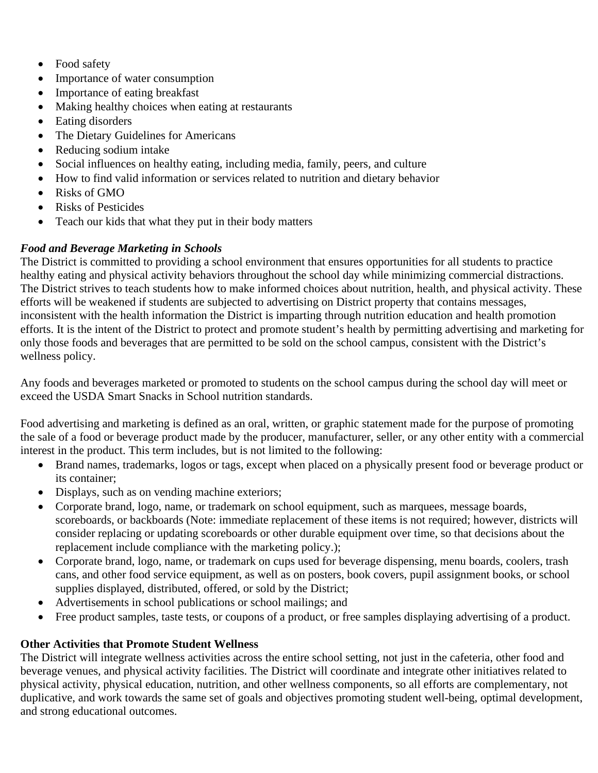- Food safety
- Importance of water consumption
- Importance of eating breakfast
- Making healthy choices when eating at restaurants
- Eating disorders
- The Dietary Guidelines for Americans
- Reducing sodium intake
- Social influences on healthy eating, including media, family, peers, and culture
- How to find valid information or services related to nutrition and dietary behavior
- Risks of GMO
- Risks of Pesticides
- Teach our kids that what they put in their body matters

## *Food and Beverage Marketing in Schools*

The District is committed to providing a school environment that ensures opportunities for all students to practice healthy eating and physical activity behaviors throughout the school day while minimizing commercial distractions. The District strives to teach students how to make informed choices about nutrition, health, and physical activity. These efforts will be weakened if students are subjected to advertising on District property that contains messages, inconsistent with the health information the District is imparting through nutrition education and health promotion efforts. It is the intent of the District to protect and promote student's health by permitting advertising and marketing for only those foods and beverages that are permitted to be sold on the school campus, consistent with the District's wellness policy.

Any foods and beverages marketed or promoted to students on the school campus during the school day will meet or exceed the USDA Smart Snacks in School nutrition standards.

Food advertising and marketing is defined as an oral, written, or graphic statement made for the purpose of promoting the sale of a food or beverage product made by the producer, manufacturer, seller, or any other entity with a commercial interest in the product. This term includes, but is not limited to the following:

- Brand names, trademarks, logos or tags, except when placed on a physically present food or beverage product or its container;
- Displays, such as on vending machine exteriors;
- Corporate brand, logo, name, or trademark on school equipment, such as marquees, message boards, scoreboards, or backboards (Note: immediate replacement of these items is not required; however, districts will consider replacing or updating scoreboards or other durable equipment over time, so that decisions about the replacement include compliance with the marketing policy.);
- Corporate brand, logo, name, or trademark on cups used for beverage dispensing, menu boards, coolers, trash cans, and other food service equipment, as well as on posters, book covers, pupil assignment books, or school supplies displayed, distributed, offered, or sold by the District;
- Advertisements in school publications or school mailings; and
- Free product samples, taste tests, or coupons of a product, or free samples displaying advertising of a product.

## **Other Activities that Promote Student Wellness**

The District will integrate wellness activities across the entire school setting, not just in the cafeteria, other food and beverage venues, and physical activity facilities. The District will coordinate and integrate other initiatives related to physical activity, physical education, nutrition, and other wellness components, so all efforts are complementary, not duplicative, and work towards the same set of goals and objectives promoting student well-being, optimal development, and strong educational outcomes.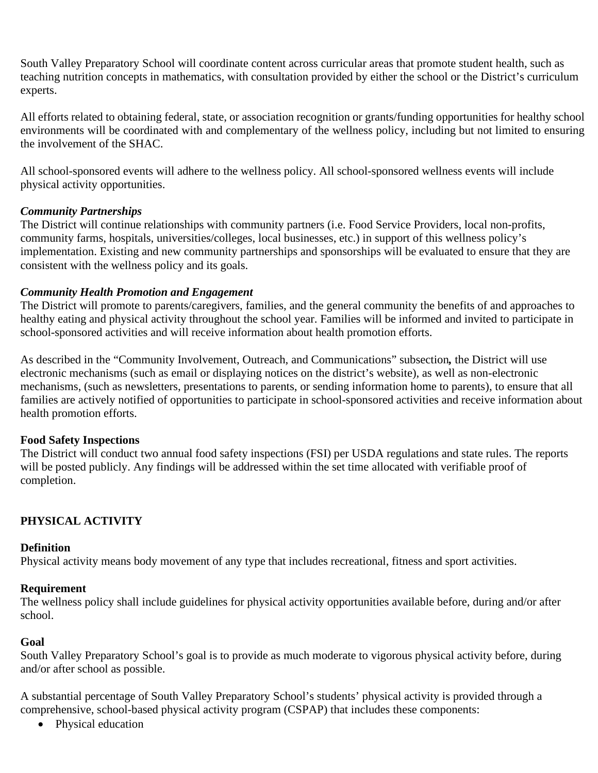South Valley Preparatory School will coordinate content across curricular areas that promote student health, such as teaching nutrition concepts in mathematics, with consultation provided by either the school or the District's curriculum experts.

All efforts related to obtaining federal, state, or association recognition or grants/funding opportunities for healthy school environments will be coordinated with and complementary of the wellness policy, including but not limited to ensuring the involvement of the SHAC.

All school-sponsored events will adhere to the wellness policy. All school-sponsored wellness events will include physical activity opportunities.

### *Community Partnerships*

The District will continue relationships with community partners (i.e. Food Service Providers, local non-profits, community farms, hospitals, universities/colleges, local businesses, etc.) in support of this wellness policy's implementation. Existing and new community partnerships and sponsorships will be evaluated to ensure that they are consistent with the wellness policy and its goals.

### *Community Health Promotion and Engagement*

The District will promote to parents/caregivers, families, and the general community the benefits of and approaches to healthy eating and physical activity throughout the school year. Families will be informed and invited to participate in school-sponsored activities and will receive information about health promotion efforts.

As described in the "Community Involvement, Outreach, and Communications" subsection*,* the District will use electronic mechanisms (such as email or displaying notices on the district's website), as well as non-electronic mechanisms, (such as newsletters, presentations to parents, or sending information home to parents), to ensure that all families are actively notified of opportunities to participate in school-sponsored activities and receive information about health promotion efforts.

## **Food Safety Inspections**

The District will conduct two annual food safety inspections (FSI) per USDA regulations and state rules. The reports will be posted publicly. Any findings will be addressed within the set time allocated with verifiable proof of completion.

## **PHYSICAL ACTIVITY**

### **Definition**

Physical activity means body movement of any type that includes recreational, fitness and sport activities.

### **Requirement**

The wellness policy shall include guidelines for physical activity opportunities available before, during and/or after school.

## **Goal**

South Valley Preparatory School's goal is to provide as much moderate to vigorous physical activity before, during and/or after school as possible.

A substantial percentage of South Valley Preparatory School's students' physical activity is provided through a comprehensive, school-based physical activity program (CSPAP) that includes these components:

• Physical education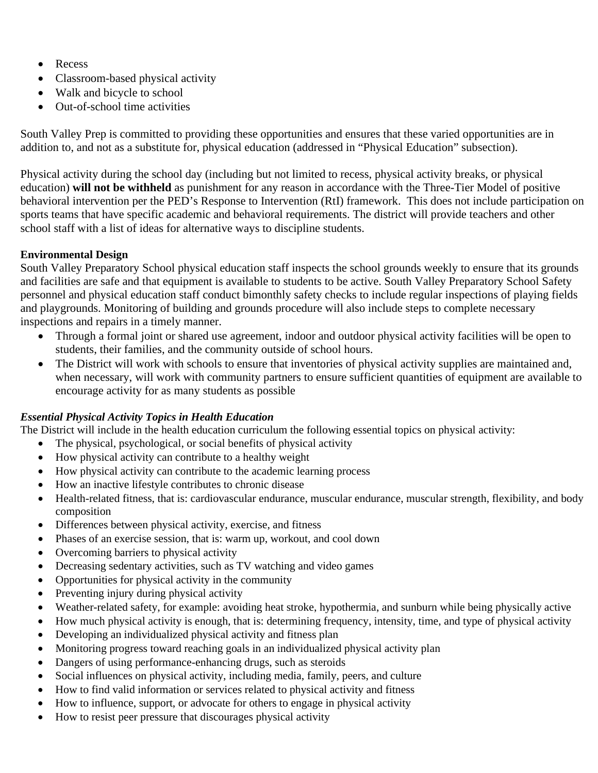- Recess
- Classroom-based physical activity
- Walk and bicycle to school
- Out-of-school time activities

South Valley Prep is committed to providing these opportunities and ensures that these varied opportunities are in addition to, and not as a substitute for, physical education (addressed in "Physical Education" subsection).

Physical activity during the school day (including but not limited to recess, physical activity breaks, or physical education) **will not be withheld** as punishment for any reason in accordance with the Three-Tier Model of positive behavioral intervention per the PED's Response to Intervention (RtI) framework. This does not include participation on sports teams that have specific academic and behavioral requirements. The district will provide teachers and other school staff with a list of ideas for alternative ways to discipline students.

## **Environmental Design**

South Valley Preparatory School physical education staff inspects the school grounds weekly to ensure that its grounds and facilities are safe and that equipment is available to students to be active. South Valley Preparatory School Safety personnel and physical education staff conduct bimonthly safety checks to include regular inspections of playing fields and playgrounds. Monitoring of building and grounds procedure will also include steps to complete necessary inspections and repairs in a timely manner.

- Through a formal joint or shared use agreement, indoor and outdoor physical activity facilities will be open to students, their families, and the community outside of school hours.
- The District will work with schools to ensure that inventories of physical activity supplies are maintained and, when necessary, will work with community partners to ensure sufficient quantities of equipment are available to encourage activity for as many students as possible

## *Essential Physical Activity Topics in Health Education*

The District will include in the health education curriculum the following essential topics on physical activity:

- The physical, psychological, or social benefits of physical activity
- How physical activity can contribute to a healthy weight
- How physical activity can contribute to the academic learning process
- How an inactive lifestyle contributes to chronic disease
- Health-related fitness, that is: cardiovascular endurance, muscular endurance, muscular strength, flexibility, and body composition
- Differences between physical activity, exercise, and fitness
- Phases of an exercise session, that is: warm up, workout, and cool down
- Overcoming barriers to physical activity
- Decreasing sedentary activities, such as TV watching and video games
- Opportunities for physical activity in the community
- Preventing injury during physical activity
- Weather-related safety, for example: avoiding heat stroke, hypothermia, and sunburn while being physically active
- How much physical activity is enough, that is: determining frequency, intensity, time, and type of physical activity
- Developing an individualized physical activity and fitness plan
- Monitoring progress toward reaching goals in an individualized physical activity plan
- Dangers of using performance-enhancing drugs, such as steroids
- Social influences on physical activity, including media, family, peers, and culture
- How to find valid information or services related to physical activity and fitness
- How to influence, support, or advocate for others to engage in physical activity
- How to resist peer pressure that discourages physical activity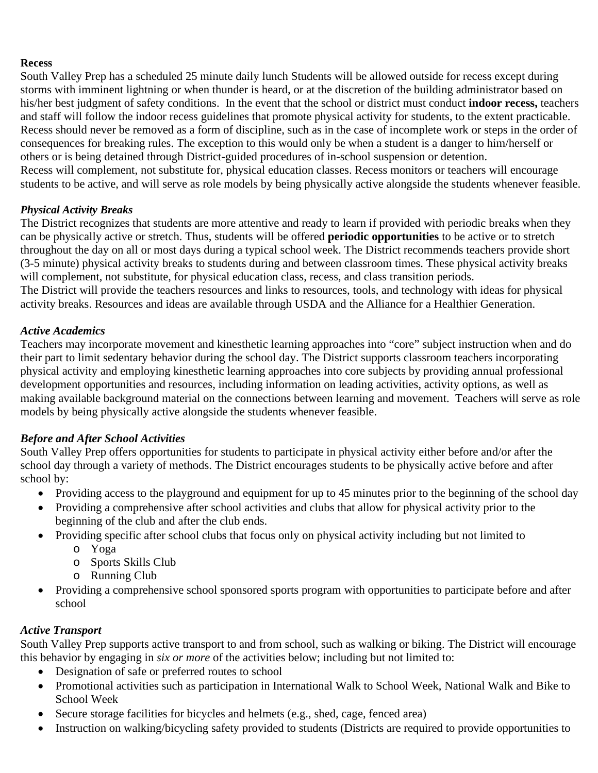### **Recess**

South Valley Prep has a scheduled 25 minute daily lunch Students will be allowed outside for recess except during storms with imminent lightning or when thunder is heard, or at the discretion of the building administrator based on his/her best judgment of safety conditions.In the event that the school or district must conduct **indoor recess,** teachers and staff will follow the indoor recess guidelines that promote physical activity for students, to the extent practicable. Recess should never be removed as a form of discipline, such as in the case of incomplete work or steps in the order of consequences for breaking rules. The exception to this would only be when a student is a danger to him/herself or others or is being detained through District-guided procedures of in-school suspension or detention. Recess will complement, not substitute for, physical education classes. Recess monitors or teachers will encourage students to be active, and will serve as role models by being physically active alongside the students whenever feasible.

### *Physical Activity Breaks*

The District recognizes that students are more attentive and ready to learn if provided with periodic breaks when they can be physically active or stretch. Thus, students will be offered **periodic opportunities** to be active or to stretch throughout the day on all or most days during a typical school week. The District recommends teachers provide short (3-5 minute) physical activity breaks to students during and between classroom times. These physical activity breaks will complement, not substitute, for physical education class, recess, and class transition periods. The District will provide the teachers resources and links to resources, tools, and technology with ideas for physical activity breaks. Resources and ideas are available through USDA and the Alliance for a Healthier Generation.

### *Active Academics*

Teachers may incorporate movement and kinesthetic learning approaches into "core" subject instruction when and do their part to limit sedentary behavior during the school day. The District supports classroom teachers incorporating physical activity and employing kinesthetic learning approaches into core subjects by providing annual professional development opportunities and resources, including information on leading activities, activity options, as well as making available background material on the connections between learning and movement. Teachers will serve as role models by being physically active alongside the students whenever feasible.

## *Before and After School Activities*

South Valley Prep offers opportunities for students to participate in physical activity either before and/or after the school day through a variety of methods. The District encourages students to be physically active before and after school by:

- Providing access to the playground and equipment for up to 45 minutes prior to the beginning of the school day
- Providing a comprehensive after school activities and clubs that allow for physical activity prior to the beginning of the club and after the club ends.
- Providing specific after school clubs that focus only on physical activity including but not limited to
	- o Yoga
	- o Sports Skills Club
	- o Running Club
- Providing a comprehensive school sponsored sports program with opportunities to participate before and after school

### *Active Transport*

South Valley Prep supports active transport to and from school, such as walking or biking. The District will encourage this behavior by engaging in *six or more* of the activities below; including but not limited to:

- Designation of safe or preferred routes to school
- Promotional activities such as participation in International Walk to School Week, National Walk and Bike to School Week
- Secure storage facilities for bicycles and helmets (e.g., shed, cage, fenced area)
- Instruction on walking/bicycling safety provided to students (Districts are required to provide opportunities to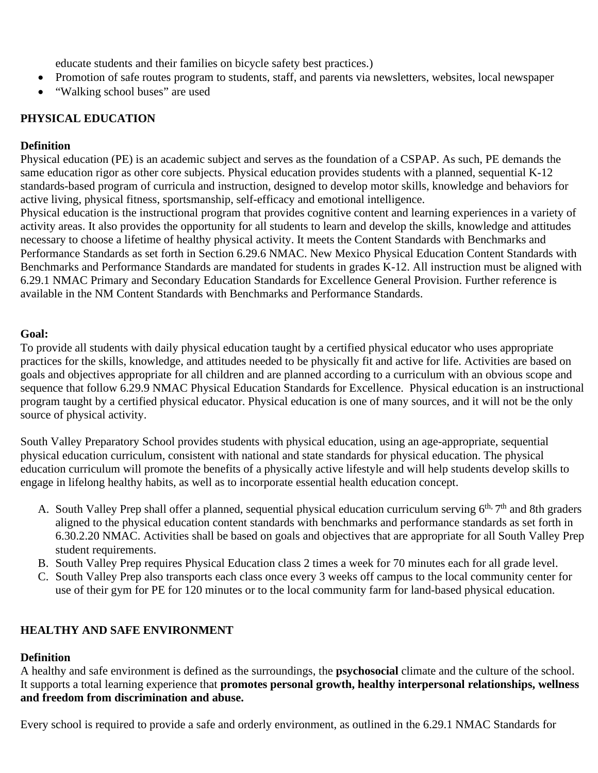educate students and their families on bicycle safety best practices.)

- Promotion of safe routes program to students, staff, and parents via newsletters, websites, local newspaper
- "Walking school buses" are used

## **PHYSICAL EDUCATION**

### **Definition**

Physical education (PE) is an academic subject and serves as the foundation of a CSPAP. As such, PE demands the same education rigor as other core subjects. Physical education provides students with a planned, sequential K-12 standards-based program of curricula and instruction, designed to develop motor skills, knowledge and behaviors for active living, physical fitness, sportsmanship, self-efficacy and emotional intelligence.

Physical education is the instructional program that provides cognitive content and learning experiences in a variety of activity areas. It also provides the opportunity for all students to learn and develop the skills, knowledge and attitudes necessary to choose a lifetime of healthy physical activity. It meets the Content Standards with Benchmarks and Performance Standards as set forth in Section 6.29.6 NMAC. New Mexico Physical Education Content Standards with Benchmarks and Performance Standards are mandated for students in grades K-12. All instruction must be aligned with 6.29.1 NMAC Primary and Secondary Education Standards for Excellence General Provision. Further reference is available in the NM Content Standards with Benchmarks and Performance Standards.

### **Goal:**

To provide all students with daily physical education taught by a certified physical educator who uses appropriate practices for the skills, knowledge, and attitudes needed to be physically fit and active for life. Activities are based on goals and objectives appropriate for all children and are planned according to a curriculum with an obvious scope and sequence that follow 6.29.9 NMAC Physical Education Standards for Excellence. Physical education is an instructional program taught by a certified physical educator. Physical education is one of many sources, and it will not be the only source of physical activity.

South Valley Preparatory School provides students with physical education, using an age-appropriate, sequential physical education curriculum, consistent with national and state standards for physical education. The physical education curriculum will promote the benefits of a physically active lifestyle and will help students develop skills to engage in lifelong healthy habits, as well as to incorporate essential health education concept.

- A. South Valley Prep shall offer a planned, sequential physical education curriculum serving  $6<sup>th</sup>$ ,  $7<sup>th</sup>$  and 8th graders aligned to the physical education content standards with benchmarks and performance standards as set forth in 6.30.2.20 NMAC. Activities shall be based on goals and objectives that are appropriate for all South Valley Prep student requirements.
- B. South Valley Prep requires Physical Education class 2 times a week for 70 minutes each for all grade level.
- C. South Valley Prep also transports each class once every 3 weeks off campus to the local community center for use of their gym for PE for 120 minutes or to the local community farm for land-based physical education.

## **HEALTHY AND SAFE ENVIRONMENT**

## **Definition**

A healthy and safe environment is defined as the surroundings, the **psychosocial** climate and the culture of the school. It supports a total learning experience that **promotes personal growth, healthy interpersonal relationships, wellness and freedom from discrimination and abuse.** 

Every school is required to provide a safe and orderly environment, as outlined in the 6.29.1 NMAC Standards for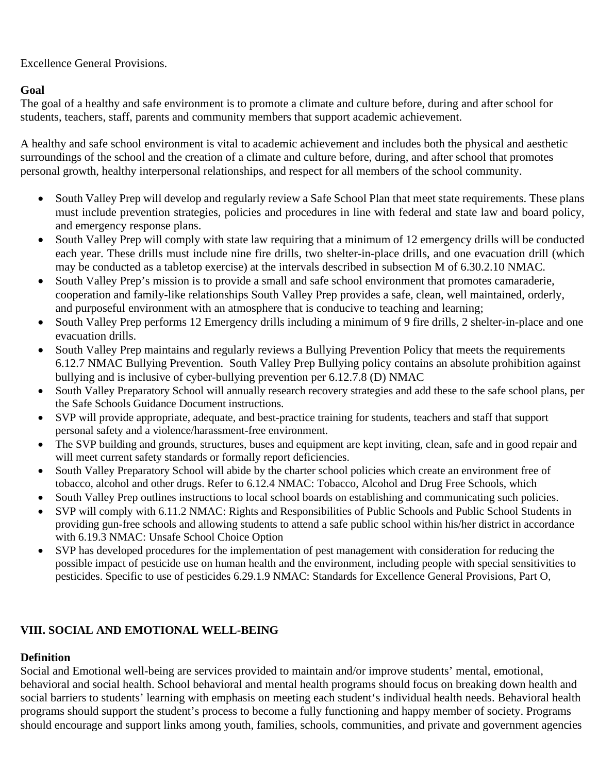Excellence General Provisions.

## **Goal**

The goal of a healthy and safe environment is to promote a climate and culture before, during and after school for students, teachers, staff, parents and community members that support academic achievement.

A healthy and safe school environment is vital to academic achievement and includes both the physical and aesthetic surroundings of the school and the creation of a climate and culture before, during, and after school that promotes personal growth, healthy interpersonal relationships, and respect for all members of the school community.

- South Valley Prep will develop and regularly review a Safe School Plan that meet state requirements. These plans must include prevention strategies, policies and procedures in line with federal and state law and board policy, and emergency response plans.
- South Valley Prep will comply with state law requiring that a minimum of 12 emergency drills will be conducted each year. These drills must include nine fire drills, two shelter-in-place drills, and one evacuation drill (which may be conducted as a tabletop exercise) at the intervals described in subsection M of 6.30.2.10 NMAC.
- South Valley Prep's mission is to provide a small and safe school environment that promotes camaraderie, cooperation and family-like relationships South Valley Prep provides a safe, clean, well maintained, orderly, and purposeful environment with an atmosphere that is conducive to teaching and learning;
- South Valley Prep performs 12 Emergency drills including a minimum of 9 fire drills, 2 shelter-in-place and one evacuation drills.
- South Valley Prep maintains and regularly reviews a Bullying Prevention Policy that meets the requirements 6.12.7 NMAC Bullying Prevention. South Valley Prep Bullying policy contains an absolute prohibition against bullying and is inclusive of cyber-bullying prevention per 6.12.7.8 (D) NMAC
- South Valley Preparatory School will annually research recovery strategies and add these to the safe school plans, per the Safe Schools Guidance Document instructions.
- SVP will provide appropriate, adequate, and best-practice training for students, teachers and staff that support personal safety and a violence/harassment-free environment.
- The SVP building and grounds, structures, buses and equipment are kept inviting, clean, safe and in good repair and will meet current safety standards or formally report deficiencies.
- South Valley Preparatory School will abide by the charter school policies which create an environment free of tobacco, alcohol and other drugs. Refer to 6.12.4 NMAC: Tobacco, Alcohol and Drug Free Schools, which
- South Valley Prep outlines instructions to local school boards on establishing and communicating such policies.
- SVP will comply with 6.11.2 NMAC: Rights and Responsibilities of Public Schools and Public School Students in providing gun-free schools and allowing students to attend a safe public school within his/her district in accordance with 6.19.3 NMAC: Unsafe School Choice Option
- SVP has developed procedures for the implementation of pest management with consideration for reducing the possible impact of pesticide use on human health and the environment, including people with special sensitivities to pesticides. Specific to use of pesticides 6.29.1.9 NMAC: Standards for Excellence General Provisions, Part O,

## **VIII. SOCIAL AND EMOTIONAL WELL-BEING**

## **Definition**

Social and Emotional well-being are services provided to maintain and/or improve students' mental, emotional, behavioral and social health. School behavioral and mental health programs should focus on breaking down health and social barriers to students' learning with emphasis on meeting each student's individual health needs. Behavioral health programs should support the student's process to become a fully functioning and happy member of society. Programs should encourage and support links among youth, families, schools, communities, and private and government agencies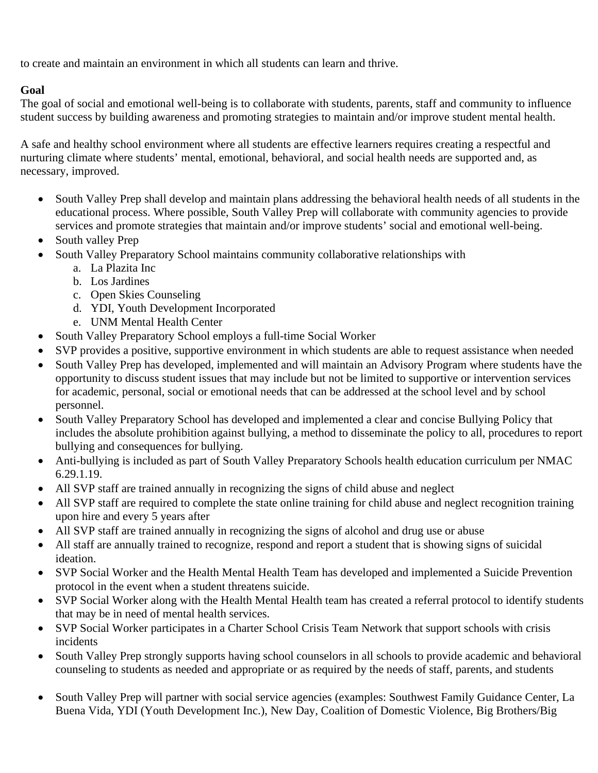to create and maintain an environment in which all students can learn and thrive.

## **Goal**

The goal of social and emotional well-being is to collaborate with students, parents, staff and community to influence student success by building awareness and promoting strategies to maintain and/or improve student mental health.

A safe and healthy school environment where all students are effective learners requires creating a respectful and nurturing climate where students' mental, emotional, behavioral, and social health needs are supported and, as necessary, improved.

- South Valley Prep shall develop and maintain plans addressing the behavioral health needs of all students in the educational process. Where possible, South Valley Prep will collaborate with community agencies to provide services and promote strategies that maintain and/or improve students' social and emotional well-being.
- South valley Prep
	- South Valley Preparatory School maintains community collaborative relationships with
		- a. La Plazita Inc
		- b. Los Jardines
		- c. Open Skies Counseling
		- d. YDI, Youth Development Incorporated
		- e. UNM Mental Health Center
- South Valley Preparatory School employs a full-time Social Worker
- SVP provides a positive, supportive environment in which students are able to request assistance when needed
- South Valley Prep has developed, implemented and will maintain an Advisory Program where students have the opportunity to discuss student issues that may include but not be limited to supportive or intervention services for academic, personal, social or emotional needs that can be addressed at the school level and by school personnel.
- South Valley Preparatory School has developed and implemented a clear and concise Bullying Policy that includes the absolute prohibition against bullying, a method to disseminate the policy to all, procedures to report bullying and consequences for bullying.
- Anti-bullying is included as part of South Valley Preparatory Schools health education curriculum per NMAC 6.29.1.19.
- All SVP staff are trained annually in recognizing the signs of child abuse and neglect
- All SVP staff are required to complete the state online training for child abuse and neglect recognition training upon hire and every 5 years after
- All SVP staff are trained annually in recognizing the signs of alcohol and drug use or abuse
- All staff are annually trained to recognize, respond and report a student that is showing signs of suicidal ideation.
- SVP Social Worker and the Health Mental Health Team has developed and implemented a Suicide Prevention protocol in the event when a student threatens suicide.
- SVP Social Worker along with the Health Mental Health team has created a referral protocol to identify students that may be in need of mental health services.
- SVP Social Worker participates in a Charter School Crisis Team Network that support schools with crisis incidents
- South Valley Prep strongly supports having school counselors in all schools to provide academic and behavioral counseling to students as needed and appropriate or as required by the needs of staff, parents, and students
- South Valley Prep will partner with social service agencies (examples: Southwest Family Guidance Center, La Buena Vida, YDI (Youth Development Inc.), New Day, Coalition of Domestic Violence, Big Brothers/Big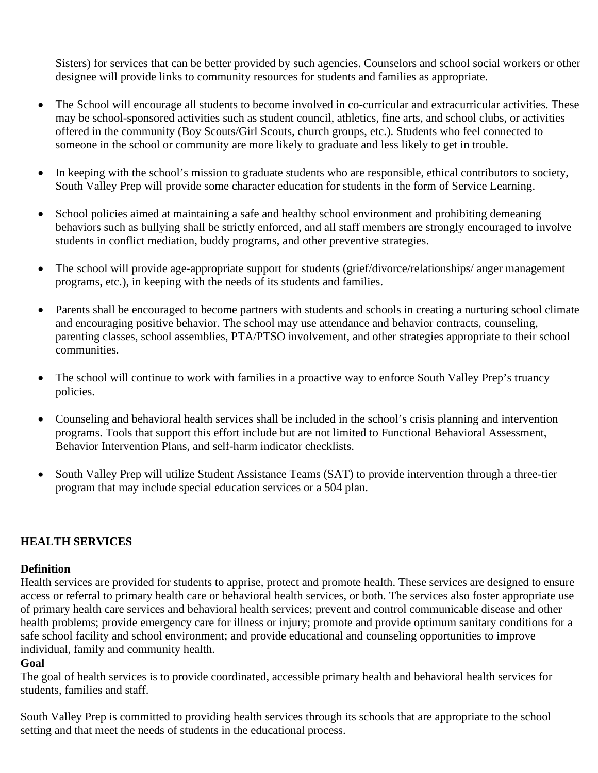Sisters) for services that can be better provided by such agencies. Counselors and school social workers or other designee will provide links to community resources for students and families as appropriate.

- The School will encourage all students to become involved in co-curricular and extracurricular activities. These may be school-sponsored activities such as student council, athletics, fine arts, and school clubs, or activities offered in the community (Boy Scouts/Girl Scouts, church groups, etc.). Students who feel connected to someone in the school or community are more likely to graduate and less likely to get in trouble.
- In keeping with the school's mission to graduate students who are responsible, ethical contributors to society, South Valley Prep will provide some character education for students in the form of Service Learning.
- School policies aimed at maintaining a safe and healthy school environment and prohibiting demeaning behaviors such as bullying shall be strictly enforced, and all staff members are strongly encouraged to involve students in conflict mediation, buddy programs, and other preventive strategies.
- The school will provide age-appropriate support for students (grief/divorce/relationships/ anger management programs, etc.), in keeping with the needs of its students and families.
- Parents shall be encouraged to become partners with students and schools in creating a nurturing school climate and encouraging positive behavior. The school may use attendance and behavior contracts, counseling, parenting classes, school assemblies, PTA/PTSO involvement, and other strategies appropriate to their school communities.
- The school will continue to work with families in a proactive way to enforce South Valley Prep's truancy policies.
- Counseling and behavioral health services shall be included in the school's crisis planning and intervention programs. Tools that support this effort include but are not limited to Functional Behavioral Assessment, Behavior Intervention Plans, and self-harm indicator checklists.
- South Valley Prep will utilize Student Assistance Teams (SAT) to provide intervention through a three-tier program that may include special education services or a 504 plan.

### **HEALTH SERVICES**

#### **Definition**

Health services are provided for students to apprise, protect and promote health. These services are designed to ensure access or referral to primary health care or behavioral health services, or both. The services also foster appropriate use of primary health care services and behavioral health services; prevent and control communicable disease and other health problems; provide emergency care for illness or injury; promote and provide optimum sanitary conditions for a safe school facility and school environment; and provide educational and counseling opportunities to improve individual, family and community health.

#### **Goal**

The goal of health services is to provide coordinated, accessible primary health and behavioral health services for students, families and staff.

South Valley Prep is committed to providing health services through its schools that are appropriate to the school setting and that meet the needs of students in the educational process.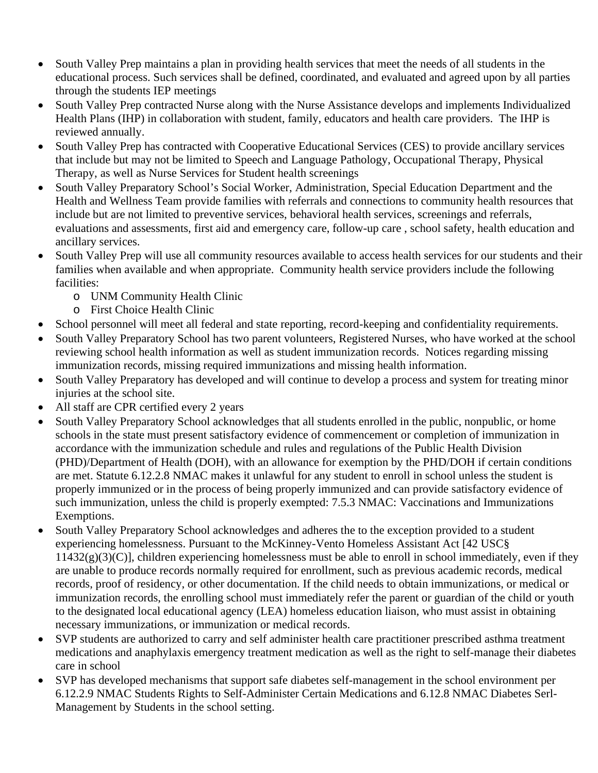- South Valley Prep maintains a plan in providing health services that meet the needs of all students in the educational process. Such services shall be defined, coordinated, and evaluated and agreed upon by all parties through the students IEP meetings
- South Valley Prep contracted Nurse along with the Nurse Assistance develops and implements Individualized Health Plans (IHP) in collaboration with student, family, educators and health care providers. The IHP is reviewed annually.
- South Valley Prep has contracted with Cooperative Educational Services (CES) to provide ancillary services that include but may not be limited to Speech and Language Pathology, Occupational Therapy, Physical Therapy, as well as Nurse Services for Student health screenings
- South Valley Preparatory School's Social Worker, Administration, Special Education Department and the Health and Wellness Team provide families with referrals and connections to community health resources that include but are not limited to preventive services, behavioral health services, screenings and referrals, evaluations and assessments, first aid and emergency care, follow-up care , school safety, health education and ancillary services.
- South Valley Prep will use all community resources available to access health services for our students and their families when available and when appropriate. Community health service providers include the following facilities:
	- o UNM Community Health Clinic
	- o First Choice Health Clinic
- School personnel will meet all federal and state reporting, record-keeping and confidentiality requirements.
- South Valley Preparatory School has two parent volunteers, Registered Nurses, who have worked at the school reviewing school health information as well as student immunization records. Notices regarding missing immunization records, missing required immunizations and missing health information.
- South Valley Preparatory has developed and will continue to develop a process and system for treating minor injuries at the school site.
- All staff are CPR certified every 2 years
- South Valley Preparatory School acknowledges that all students enrolled in the public, nonpublic, or home schools in the state must present satisfactory evidence of commencement or completion of immunization in accordance with the immunization schedule and rules and regulations of the Public Health Division (PHD)/Department of Health (DOH), with an allowance for exemption by the PHD/DOH if certain conditions are met. Statute 6.12.2.8 NMAC makes it unlawful for any student to enroll in school unless the student is properly immunized or in the process of being properly immunized and can provide satisfactory evidence of such immunization, unless the child is properly exempted: 7.5.3 NMAC: Vaccinations and Immunizations Exemptions.
- South Valley Preparatory School acknowledges and adheres the to the exception provided to a student experiencing homelessness. Pursuant to the McKinney-Vento Homeless Assistant Act [42 USC§  $11432(g)(3)(C)$ ], children experiencing homelessness must be able to enroll in school immediately, even if they are unable to produce records normally required for enrollment, such as previous academic records, medical records, proof of residency, or other documentation. If the child needs to obtain immunizations, or medical or immunization records, the enrolling school must immediately refer the parent or guardian of the child or youth to the designated local educational agency (LEA) homeless education liaison, who must assist in obtaining necessary immunizations, or immunization or medical records.
- SVP students are authorized to carry and self administer health care practitioner prescribed asthma treatment medications and anaphylaxis emergency treatment medication as well as the right to self-manage their diabetes care in school
- SVP has developed mechanisms that support safe diabetes self-management in the school environment per 6.12.2.9 NMAC Students Rights to Self-Administer Certain Medications and 6.12.8 NMAC Diabetes Serl-Management by Students in the school setting.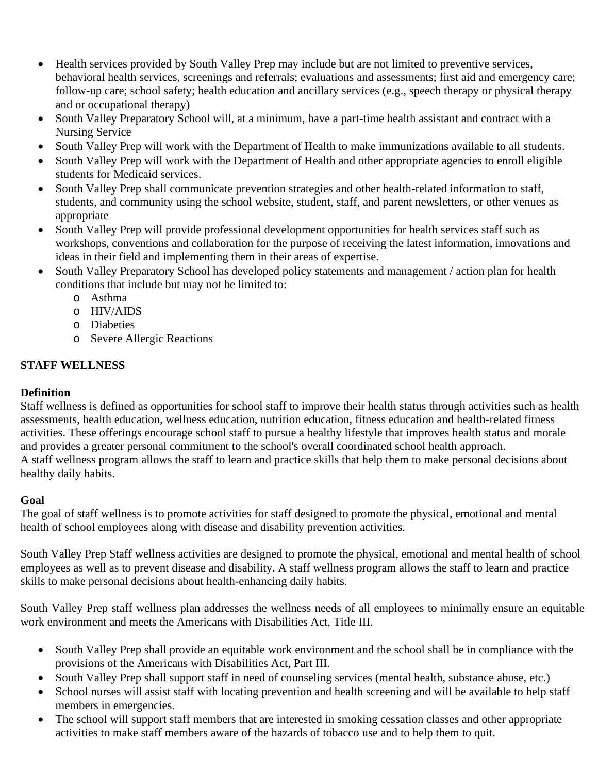- Health services provided by South Valley Prep may include but are not limited to preventive services, behavioral health services, screenings and referrals; evaluations and assessments; first aid and emergency care; follow-up care; school safety; health education and ancillary services (e.g., speech therapy or physical therapy and or occupational therapy)
- South Valley Preparatory School will, at a minimum, have a part-time health assistant and contract with a Nursing Service
- South Valley Prep will work with the Department of Health to make immunizations available to all students.
- South Valley Prep will work with the Department of Health and other appropriate agencies to enroll eligible students for Medicaid services.
- South Valley Prep shall communicate prevention strategies and other health-related information to staff, students, and community using the school website, student, staff, and parent newsletters, or other venues as appropriate
- South Valley Prep will provide professional development opportunities for health services staff such as workshops, conventions and collaboration for the purpose of receiving the latest information, innovations and ideas in their field and implementing them in their areas of expertise.
- South Valley Preparatory School has developed policy statements and management / action plan for health conditions that include but may not be limited to:
	- o Asthma
	- o HIV/AIDS
	- o Diabeties
	- o Severe Allergic Reactions

## **STAFF WELLNESS**

## **Definition**

Staff wellness is defined as opportunities for school staff to improve their health status through activities such as health assessments, health education, wellness education, nutrition education, fitness education and health-related fitness activities. These offerings encourage school staff to pursue a healthy lifestyle that improves health status and morale and provides a greater personal commitment to the school's overall coordinated school health approach. A staff wellness program allows the staff to learn and practice skills that help them to make personal decisions about healthy daily habits.

### **Goal**

The goal of staff wellness is to promote activities for staff designed to promote the physical, emotional and mental health of school employees along with disease and disability prevention activities.

South Valley Prep Staff wellness activities are designed to promote the physical, emotional and mental health of school employees as well as to prevent disease and disability. A staff wellness program allows the staff to learn and practice skills to make personal decisions about health-enhancing daily habits.

South Valley Prep staff wellness plan addresses the wellness needs of all employees to minimally ensure an equitable work environment and meets the Americans with Disabilities Act, Title III.

- South Valley Prep shall provide an equitable work environment and the school shall be in compliance with the provisions of the Americans with Disabilities Act, Part III.
- South Valley Prep shall support staff in need of counseling services (mental health, substance abuse, etc.)
- School nurses will assist staff with locating prevention and health screening and will be available to help staff members in emergencies.
- The school will support staff members that are interested in smoking cessation classes and other appropriate activities to make staff members aware of the hazards of tobacco use and to help them to quit.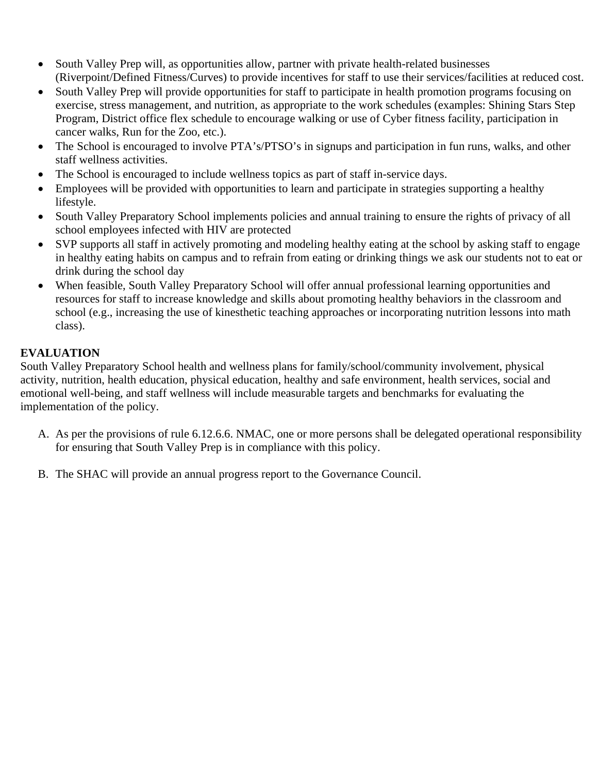- South Valley Prep will, as opportunities allow, partner with private health-related businesses (Riverpoint/Defined Fitness/Curves) to provide incentives for staff to use their services/facilities at reduced cost.
- South Valley Prep will provide opportunities for staff to participate in health promotion programs focusing on exercise, stress management, and nutrition, as appropriate to the work schedules (examples: Shining Stars Step Program, District office flex schedule to encourage walking or use of Cyber fitness facility, participation in cancer walks, Run for the Zoo, etc.).
- The School is encouraged to involve PTA's/PTSO's in signups and participation in fun runs, walks, and other staff wellness activities.
- The School is encouraged to include wellness topics as part of staff in-service days.
- Employees will be provided with opportunities to learn and participate in strategies supporting a healthy lifestyle.
- South Valley Preparatory School implements policies and annual training to ensure the rights of privacy of all school employees infected with HIV are protected
- SVP supports all staff in actively promoting and modeling healthy eating at the school by asking staff to engage in healthy eating habits on campus and to refrain from eating or drinking things we ask our students not to eat or drink during the school day
- When feasible, South Valley Preparatory School will offer annual professional learning opportunities and resources for staff to increase knowledge and skills about promoting healthy behaviors in the classroom and school (e.g., increasing the use of kinesthetic teaching approaches or incorporating nutrition lessons into math class).

## **EVALUATION**

South Valley Preparatory School health and wellness plans for family/school/community involvement, physical activity, nutrition, health education, physical education, healthy and safe environment, health services, social and emotional well-being, and staff wellness will include measurable targets and benchmarks for evaluating the implementation of the policy.

- A. As per the provisions of rule 6.12.6.6. NMAC, one or more persons shall be delegated operational responsibility for ensuring that South Valley Prep is in compliance with this policy.
- B. The SHAC will provide an annual progress report to the Governance Council.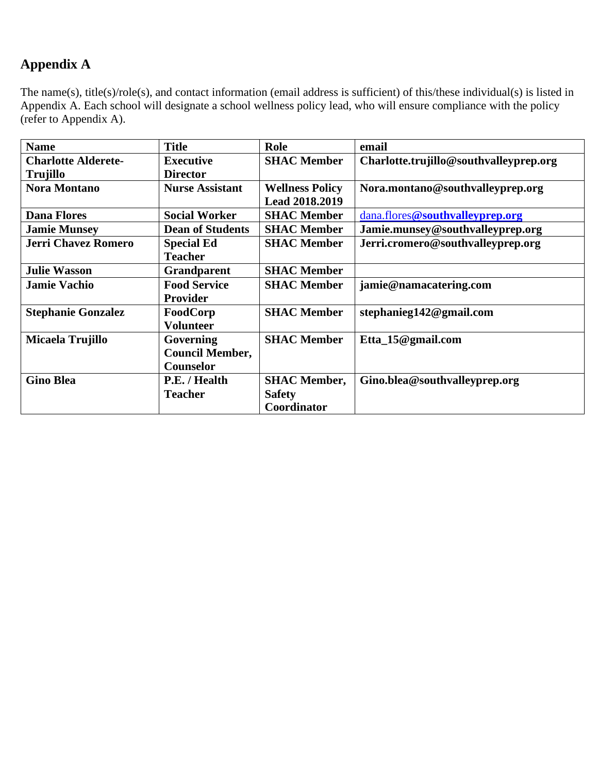# **Appendix A**

The name(s), title(s)/role(s), and contact information (email address is sufficient) of this/these individual(s) is listed in Appendix A. Each school will designate a school wellness policy lead, who will ensure compliance with the policy (refer to Appendix A).

| <b>Name</b>                | <b>Title</b>            | Role                   | email                                  |
|----------------------------|-------------------------|------------------------|----------------------------------------|
| <b>Charlotte Alderete-</b> | <b>Executive</b>        | <b>SHAC Member</b>     | Charlotte.trujillo@southvalleyprep.org |
| Trujillo                   | <b>Director</b>         |                        |                                        |
| <b>Nora Montano</b>        | <b>Nurse Assistant</b>  | <b>Wellness Policy</b> | Nora.montano@southvalleyprep.org       |
|                            |                         | <b>Lead 2018.2019</b>  |                                        |
| <b>Dana Flores</b>         | <b>Social Worker</b>    | <b>SHAC Member</b>     | dana.flores@southvalleyprep.org        |
| <b>Jamie Munsey</b>        | <b>Dean of Students</b> | <b>SHAC Member</b>     | Jamie.munsey@southvalleyprep.org       |
| <b>Jerri Chavez Romero</b> | <b>Special Ed</b>       | <b>SHAC Member</b>     | Jerri.cromero@southvalleyprep.org      |
|                            | <b>Teacher</b>          |                        |                                        |
| <b>Julie Wasson</b>        | <b>Grandparent</b>      | <b>SHAC Member</b>     |                                        |
| <b>Jamie Vachio</b>        | <b>Food Service</b>     | <b>SHAC Member</b>     | jamie@namacatering.com                 |
|                            | Provider                |                        |                                        |
| <b>Stephanie Gonzalez</b>  | FoodCorp                | <b>SHAC Member</b>     | stephanieg142@gmail.com                |
|                            | <b>Volunteer</b>        |                        |                                        |
| Micaela Trujillo           | Governing               | <b>SHAC Member</b>     | Etta_15@gmail.com                      |
|                            | <b>Council Member,</b>  |                        |                                        |
|                            | Counselor               |                        |                                        |
| <b>Gino Blea</b>           | P.E. / Health           | <b>SHAC Member,</b>    | Gino.blea@southvalleyprep.org          |
|                            | <b>Teacher</b>          | <b>Safety</b>          |                                        |
|                            |                         | Coordinator            |                                        |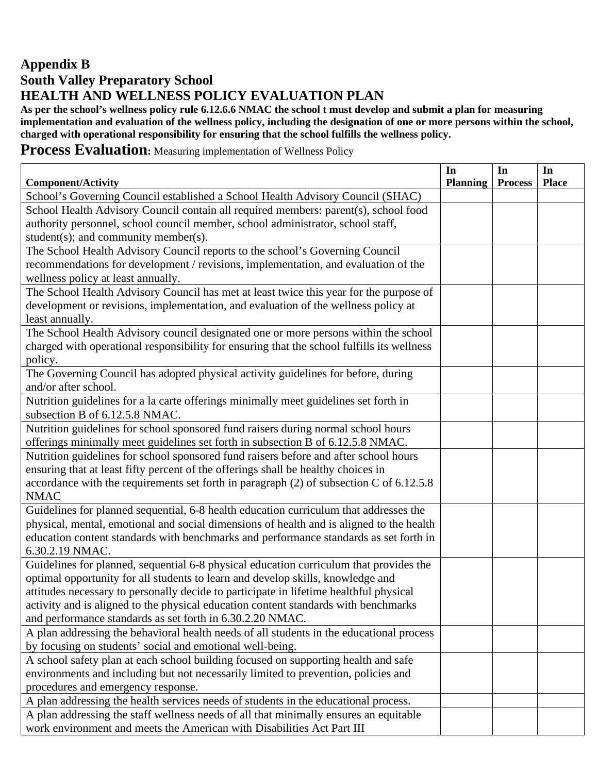## **Appendix B South Valley Preparatory School HEALTH AND WELLNESS POLICY EVALUATION PLAN**

**As per the school's wellness policy rule 6.12.6.6 NMAC the school t must develop and submit a plan for measuring implementation and evaluation of the wellness policy, including the designation of one or more persons within the school, charged with operational responsibility for ensuring that the school fulfills the wellness policy.** 

## **Process Evaluation:** Measuring implementation of Wellness Policy

| <b>Component/Activity</b>                                                                  | In<br><b>Planning</b> | In<br><b>Process</b> | In<br><b>Place</b> |
|--------------------------------------------------------------------------------------------|-----------------------|----------------------|--------------------|
| School's Governing Council established a School Health Advisory Council (SHAC)             |                       |                      |                    |
| School Health Advisory Council contain all required members: parent(s), school food        |                       |                      |                    |
| authority personnel, school council member, school administrator, school staff,            |                       |                      |                    |
| student(s); and community member(s).                                                       |                       |                      |                    |
| The School Health Advisory Council reports to the school's Governing Council               |                       |                      |                    |
| recommendations for development / revisions, implementation, and evaluation of the         |                       |                      |                    |
| wellness policy at least annually.                                                         |                       |                      |                    |
| The School Health Advisory Council has met at least twice this year for the purpose of     |                       |                      |                    |
| development or revisions, implementation, and evaluation of the wellness policy at         |                       |                      |                    |
| least annually.                                                                            |                       |                      |                    |
| The School Health Advisory council designated one or more persons within the school        |                       |                      |                    |
| charged with operational responsibility for ensuring that the school fulfills its wellness |                       |                      |                    |
| policy.                                                                                    |                       |                      |                    |
| The Governing Council has adopted physical activity guidelines for before, during          |                       |                      |                    |
| and/or after school.                                                                       |                       |                      |                    |
| Nutrition guidelines for a la carte offerings minimally meet guidelines set forth in       |                       |                      |                    |
| subsection B of 6.12.5.8 NMAC.                                                             |                       |                      |                    |
| Nutrition guidelines for school sponsored fund raisers during normal school hours          |                       |                      |                    |
| offerings minimally meet guidelines set forth in subsection B of 6.12.5.8 NMAC.            |                       |                      |                    |
| Nutrition guidelines for school sponsored fund raisers before and after school hours       |                       |                      |                    |
| ensuring that at least fifty percent of the offerings shall be healthy choices in          |                       |                      |                    |
| accordance with the requirements set forth in paragraph $(2)$ of subsection C of 6.12.5.8  |                       |                      |                    |
| <b>NMAC</b>                                                                                |                       |                      |                    |
| Guidelines for planned sequential, 6-8 health education curriculum that addresses the      |                       |                      |                    |
| physical, mental, emotional and social dimensions of health and is aligned to the health   |                       |                      |                    |
| education content standards with benchmarks and performance standards as set forth in      |                       |                      |                    |
| 6.30.2.19 NMAC.                                                                            |                       |                      |                    |
| Guidelines for planned, sequential 6-8 physical education curriculum that provides the     |                       |                      |                    |
| optimal opportunity for all students to learn and develop skills, knowledge and            |                       |                      |                    |
| attitudes necessary to personally decide to participate in lifetime healthful physical     |                       |                      |                    |
| activity and is aligned to the physical education content standards with benchmarks        |                       |                      |                    |
| and performance standards as set forth in 6.30.2.20 NMAC.                                  |                       |                      |                    |
| A plan addressing the behavioral health needs of all students in the educational process   |                       |                      |                    |
| by focusing on students' social and emotional well-being.                                  |                       |                      |                    |
| A school safety plan at each school building focused on supporting health and safe         |                       |                      |                    |
| environments and including but not necessarily limited to prevention, policies and         |                       |                      |                    |
| procedures and emergency response.                                                         |                       |                      |                    |
| A plan addressing the health services needs of students in the educational process.        |                       |                      |                    |
| A plan addressing the staff wellness needs of all that minimally ensures an equitable      |                       |                      |                    |
| work environment and meets the American with Disabilities Act Part III                     |                       |                      |                    |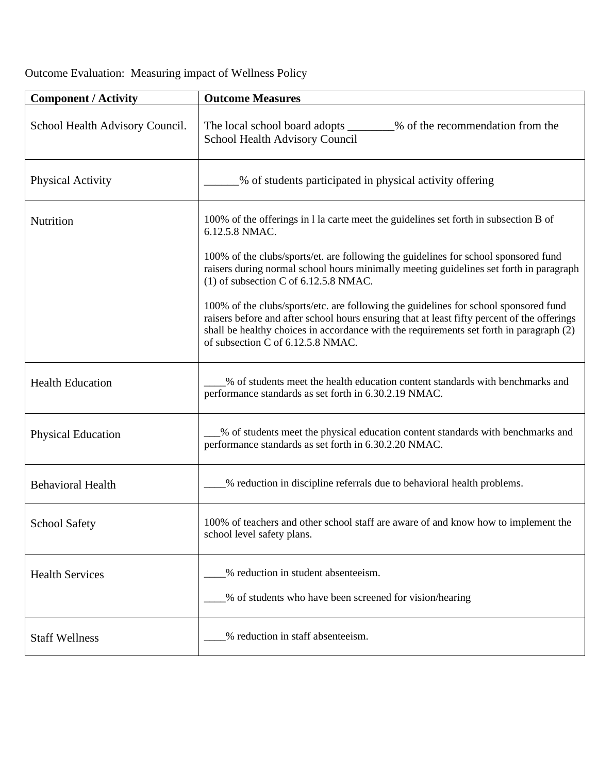Outcome Evaluation: Measuring impact of Wellness Policy

| <b>Component / Activity</b>     | <b>Outcome Measures</b>                                                                                                                                                                                                                                                                                             |
|---------------------------------|---------------------------------------------------------------------------------------------------------------------------------------------------------------------------------------------------------------------------------------------------------------------------------------------------------------------|
| School Health Advisory Council. | The local school board adopts ________% of the recommendation from the<br>School Health Advisory Council                                                                                                                                                                                                            |
| <b>Physical Activity</b>        | % of students participated in physical activity offering                                                                                                                                                                                                                                                            |
| Nutrition                       | 100% of the offerings in 1 la carte meet the guidelines set forth in subsection B of<br>6.12.5.8 NMAC.                                                                                                                                                                                                              |
|                                 | 100% of the clubs/sports/et. are following the guidelines for school sponsored fund<br>raisers during normal school hours minimally meeting guidelines set forth in paragraph<br>(1) of subsection C of 6.12.5.8 NMAC.                                                                                              |
|                                 | 100% of the clubs/sports/etc. are following the guidelines for school sponsored fund<br>raisers before and after school hours ensuring that at least fifty percent of the offerings<br>shall be healthy choices in accordance with the requirements set forth in paragraph (2)<br>of subsection C of 6.12.5.8 NMAC. |
| <b>Health Education</b>         | % of students meet the health education content standards with benchmarks and<br>performance standards as set forth in 6.30.2.19 NMAC.                                                                                                                                                                              |
| <b>Physical Education</b>       | _% of students meet the physical education content standards with benchmarks and<br>performance standards as set forth in 6.30.2.20 NMAC.                                                                                                                                                                           |
| <b>Behavioral Health</b>        | % reduction in discipline referrals due to behavioral health problems.                                                                                                                                                                                                                                              |
| <b>School Safety</b>            | 100% of teachers and other school staff are aware of and know how to implement the<br>school level safety plans.                                                                                                                                                                                                    |
| <b>Health Services</b>          | % reduction in student absenteeism.<br>% of students who have been screened for vision/hearing                                                                                                                                                                                                                      |
| <b>Staff Wellness</b>           | % reduction in staff absenteeism.                                                                                                                                                                                                                                                                                   |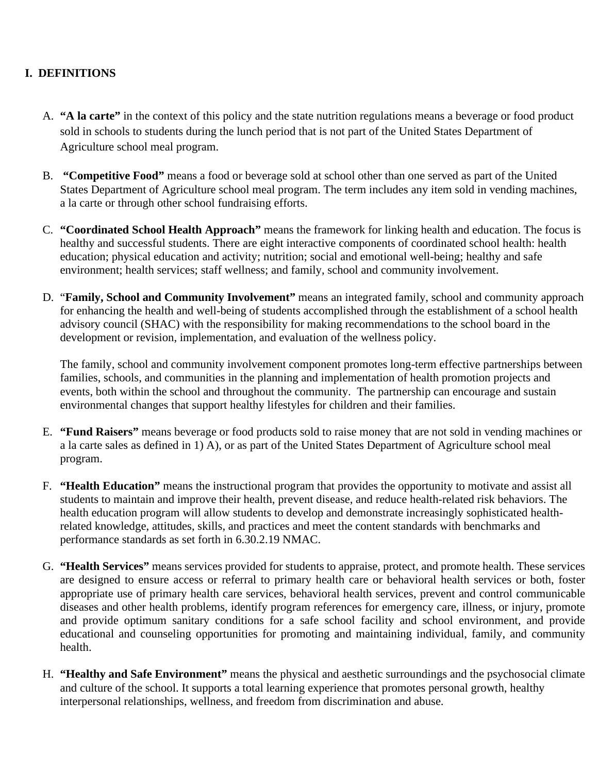## **I. DEFINITIONS**

- A. **"A la carte"** in the context of this policy and the state nutrition regulations means a beverage or food product sold in schools to students during the lunch period that is not part of the United States Department of Agriculture school meal program.
- B. **"Competitive Food"** means a food or beverage sold at school other than one served as part of the United States Department of Agriculture school meal program. The term includes any item sold in vending machines, a la carte or through other school fundraising efforts.
- C. **"Coordinated School Health Approach"** means the framework for linking health and education. The focus is healthy and successful students. There are eight interactive components of coordinated school health: health education; physical education and activity; nutrition; social and emotional well-being; healthy and safe environment; health services; staff wellness; and family, school and community involvement.
- D. "**Family, School and Community Involvement"** means an integrated family, school and community approach for enhancing the health and well-being of students accomplished through the establishment of a school health advisory council (SHAC) with the responsibility for making recommendations to the school board in the development or revision, implementation, and evaluation of the wellness policy.

The family, school and community involvement component promotes long-term effective partnerships between families, schools, and communities in the planning and implementation of health promotion projects and events, both within the school and throughout the community. The partnership can encourage and sustain environmental changes that support healthy lifestyles for children and their families.

- E. **"Fund Raisers"** means beverage or food products sold to raise money that are not sold in vending machines or a la carte sales as defined in 1) A), or as part of the United States Department of Agriculture school meal program.
- F. **"Health Education"** means the instructional program that provides the opportunity to motivate and assist all students to maintain and improve their health, prevent disease, and reduce health-related risk behaviors. The health education program will allow students to develop and demonstrate increasingly sophisticated healthrelated knowledge, attitudes, skills, and practices and meet the content standards with benchmarks and performance standards as set forth in 6.30.2.19 NMAC.
- G. **"Health Services"** means services provided for students to appraise, protect, and promote health. These services are designed to ensure access or referral to primary health care or behavioral health services or both, foster appropriate use of primary health care services, behavioral health services, prevent and control communicable diseases and other health problems, identify program references for emergency care, illness, or injury, promote and provide optimum sanitary conditions for a safe school facility and school environment, and provide educational and counseling opportunities for promoting and maintaining individual, family, and community health.
- H. **"Healthy and Safe Environment"** means the physical and aesthetic surroundings and the psychosocial climate and culture of the school. It supports a total learning experience that promotes personal growth, healthy interpersonal relationships, wellness, and freedom from discrimination and abuse.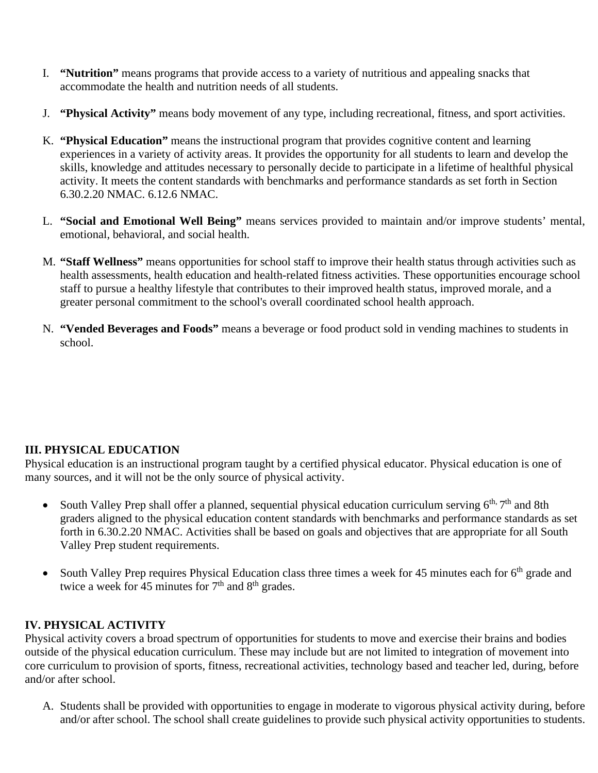- I. **"Nutrition"** means programs that provide access to a variety of nutritious and appealing snacks that accommodate the health and nutrition needs of all students.
- J. **"Physical Activity"** means body movement of any type, including recreational, fitness, and sport activities.
- K. **"Physical Education"** means the instructional program that provides cognitive content and learning experiences in a variety of activity areas. It provides the opportunity for all students to learn and develop the skills, knowledge and attitudes necessary to personally decide to participate in a lifetime of healthful physical activity. It meets the content standards with benchmarks and performance standards as set forth in Section 6.30.2.20 NMAC. 6.12.6 NMAC.
- L. **"Social and Emotional Well Being"** means services provided to maintain and/or improve students' mental, emotional, behavioral, and social health.
- M. **"Staff Wellness"** means opportunities for school staff to improve their health status through activities such as health assessments, health education and health-related fitness activities. These opportunities encourage school staff to pursue a healthy lifestyle that contributes to their improved health status, improved morale, and a greater personal commitment to the school's overall coordinated school health approach.
- N. **"Vended Beverages and Foods"** means a beverage or food product sold in vending machines to students in school.

## **III. PHYSICAL EDUCATION**

Physical education is an instructional program taught by a certified physical educator. Physical education is one of many sources, and it will not be the only source of physical activity.

- South Valley Prep shall offer a planned, sequential physical education curriculum serving  $6<sup>th</sup>$ ,  $7<sup>th</sup>$  and 8th graders aligned to the physical education content standards with benchmarks and performance standards as set forth in 6.30.2.20 NMAC. Activities shall be based on goals and objectives that are appropriate for all South Valley Prep student requirements.
- South Valley Prep requires Physical Education class three times a week for 45 minutes each for 6<sup>th</sup> grade and twice a week for 45 minutes for  $7<sup>th</sup>$  and  $8<sup>th</sup>$  grades.

### **IV. PHYSICAL ACTIVITY**

Physical activity covers a broad spectrum of opportunities for students to move and exercise their brains and bodies outside of the physical education curriculum. These may include but are not limited to integration of movement into core curriculum to provision of sports, fitness, recreational activities, technology based and teacher led, during, before and/or after school.

A. Students shall be provided with opportunities to engage in moderate to vigorous physical activity during, before and/or after school. The school shall create guidelines to provide such physical activity opportunities to students.